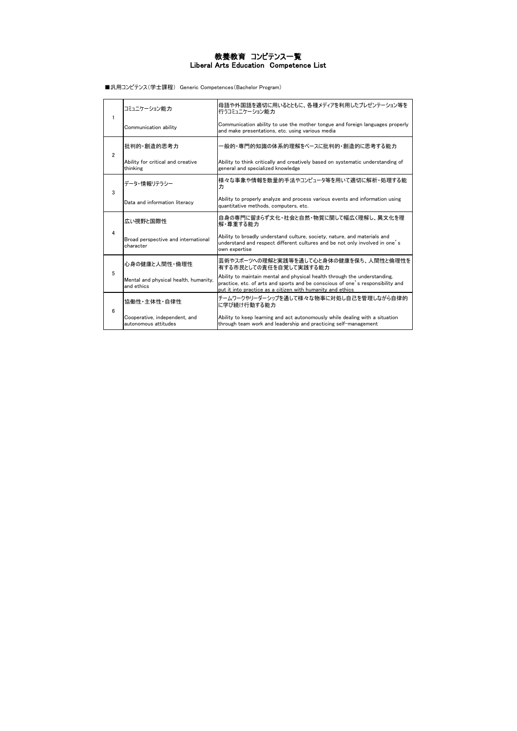■汎用コンピテンス(学士課程) Generic Competences(Bachelor Program)

| 1              | コミュニケーション能力                                           | 母語や外国語を適切に用いるとともに、各種メディアを利用したプレゼンテーション等を<br>行うコミュニケーション能力                                                                                                                                                                 |
|----------------|-------------------------------------------------------|---------------------------------------------------------------------------------------------------------------------------------------------------------------------------------------------------------------------------|
|                | Communication ability                                 | Communication ability to use the mother tongue and foreign languages properly<br>and make presentations, etc. using various media                                                                                         |
| $\overline{2}$ | 批判的 創造的思考力                                            | ・般的・専門的知識の体系的理解をベースに批判的・創造的に思考する能力                                                                                                                                                                                        |
|                | Ability for critical and creative<br>thinking         | Ability to think critically and creatively based on systematic understanding of<br>general and specialized knowledge                                                                                                      |
| 3              | データ・情報リテラシー                                           | 様々な事象や情報を数量的手法やコンピュータ等を用いて適切に解析・処理する能<br>力                                                                                                                                                                                |
|                | Data and information literacy                         | Ability to properly analyze and process various events and information using<br>quantitative methods, computers, etc.                                                                                                     |
|                | 広い視野と国際性                                              | 自身の専門に留まらず文化・社会と自然・物質に関して幅広く理解し、異文化を理<br>解・尊重する能力                                                                                                                                                                         |
| 4              | Broad perspective and international<br>character      | Ability to broadly understand culture, society, nature, and materials and<br>understand and respect different cultures and be not only involved in one's<br>own expertise                                                 |
|                | 心身の健康と人間性・倫理性                                         | 芸術やスポーツへの理解と実践等を通して心と身体の健康を保ち、人間性と倫理性を<br>有する市民としての責任を自覚して実践する能力                                                                                                                                                          |
| 5              | Mental and physical health, humanity,<br>and ethics   | Ability to maintain mental and physical health through the understanding,<br>practice, etc. of arts and sports and be conscious of one's responsibility and<br>put it into practice as a citizen with humanity and ethics |
| 6              | 協働性 主体性 自律性                                           | チームワークやリーダーシップを通して様々な物事に対処し自己を管理しながら自律的<br>に学び続け行動する能力                                                                                                                                                                    |
|                | Cooperative, independent, and<br>autonomous attitudes | Ability to keep learning and act autonomously while dealing with a situation<br>through team work and leadership and practicing self-management                                                                           |

#### 教養教育 コンピテンス一覧 Liberal Arts Education Competence List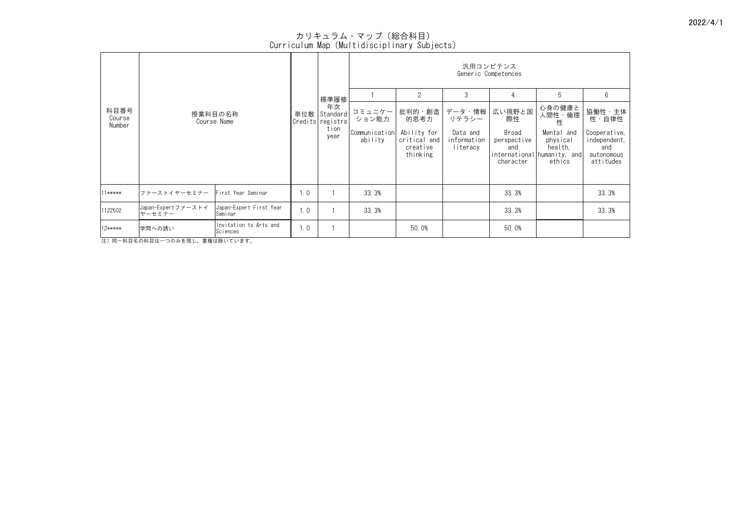| 科目番号             |                                                                    |     |                                    | 汎用コンピテンス<br>Generic Competences      |                                      |                                     |                                          |                                                                            |                                                                |  |  |
|------------------|--------------------------------------------------------------------|-----|------------------------------------|--------------------------------------|--------------------------------------|-------------------------------------|------------------------------------------|----------------------------------------------------------------------------|----------------------------------------------------------------|--|--|
|                  |                                                                    |     | │標準履修                              |                                      | $\overline{2}$                       | 3                                   | $\overline{4}$                           | 5                                                                          | $6\phantom{.}6$                                                |  |  |
| Course<br>Number | 授業科目の名称<br>Course Name                                             | 単位数 | 年次<br>Standard<br>Credits registra | コミュニケー<br>ション能力                      | 批判的・創造<br>的思考力                       | データ・情報<br>リテラシー                     | 広い視野と国<br>際性                             | 心身の健康と<br>人間性・倫理<br>性                                                      | 協働性·主体<br>性・自律性                                                |  |  |
|                  |                                                                    |     | tion<br>year                       | Communication Ability for<br>ability | critical and<br>creative<br>thinking | Data and<br>information<br>literacy | Broad<br>perspective<br>and<br>character | Mental and<br>physical<br>health,<br>international humanity, and<br>ethics | Cooperative,<br>independent,<br>and<br>autonomous<br>attitudes |  |  |
| $11****$         | ファーストイヤーセミナー<br>First Year Seminar                                 | 1.0 |                                    | 33.3%                                |                                      |                                     | 33.3%                                    |                                                                            | 33.3%                                                          |  |  |
| 1122502          | Japan-Expertファーストイ<br>Japan-Expert First Year<br>ヤーセミナー<br>Seminar | 1.0 |                                    | 33.3%                                |                                      |                                     | 33.3%                                    |                                                                            | 33.3%                                                          |  |  |
| 12*****          | Invitation to Arts and<br>学問への誘い<br>Sciences                       | 1.0 |                                    |                                      | 50.0%                                |                                     | 50.0%                                    |                                                                            |                                                                |  |  |

-<br>注) 同一科目名の科目は一つのみを残し、重複は除いています。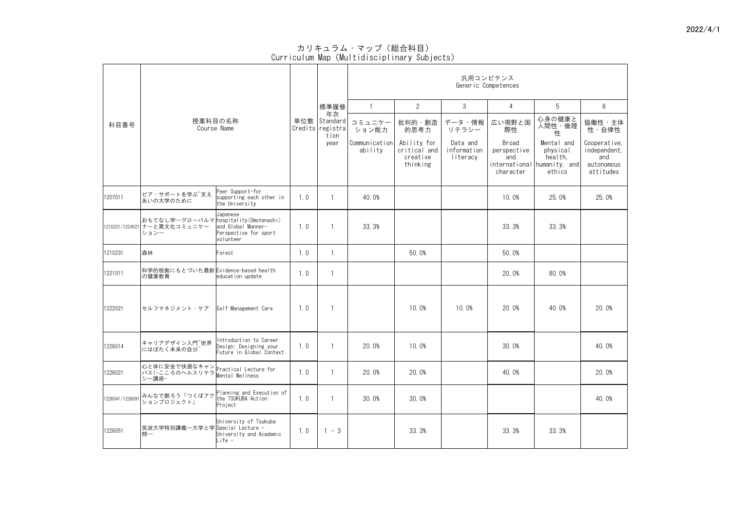|                 |                                                                                |                                                                              |     |                                                     |                                 |                                                     |                                     | 汎用コンピテンス<br>Generic Competences                 |                                                                            |                                                                |
|-----------------|--------------------------------------------------------------------------------|------------------------------------------------------------------------------|-----|-----------------------------------------------------|---------------------------------|-----------------------------------------------------|-------------------------------------|-------------------------------------------------|----------------------------------------------------------------------------|----------------------------------------------------------------|
|                 |                                                                                |                                                                              |     | 標準履修                                                |                                 | $\overline{2}$                                      | 3                                   | $\overline{4}$                                  | 5                                                                          | $6^{\circ}$                                                    |
| 科目番号            |                                                                                | 授業科目の名称<br>Course Name                                                       |     | 年次<br>単位数   Standard  <br>Credits registral<br>tion | コミュニケー<br>ション能力                 | 批判的・創造<br>的思考力                                      | データ・情報<br>リテラシー                     | 広い視野と国<br>際性                                    | 心身の健康と<br>人間性・倫理<br>性                                                      | 協働性·主体<br>性・自律性                                                |
|                 |                                                                                |                                                                              |     | year                                                | <b>Communication</b><br>ability | Ability for<br>critical and<br>creative<br>thinking | Data and<br>information<br>literacy | <b>Broad</b><br>perspective<br>and<br>character | Mental and<br>physical<br>health,<br>international humanity, and<br>ethics | Cooperative,<br>independent,<br>and<br>autonomous<br>attitudes |
| 1207011         | ピア・サポートを学ぶ 支え<br>あいの大学のために                                                     | Peer Support-for<br>supporting each other in<br>the University               | 1.0 |                                                     | 40.0%                           |                                                     |                                     | 10.0%                                           | 25.0%                                                                      | 25.0%                                                          |
|                 | おもてなし学―グローバルマ hospitality(Omotenashi)<br> 1210221/1224021 ナーと異文化コミュニケー<br>ション一 | Japanese<br>and Global Manner-<br>Perspective for sport<br>volunteer         | 1.0 |                                                     | 33.3%                           |                                                     |                                     | 33.3%                                           | 33.3%                                                                      |                                                                |
| 1210231         | 森林                                                                             | Forest                                                                       | 1.0 |                                                     |                                 | 50.0%                                               |                                     | 50.0%                                           |                                                                            |                                                                |
| 1221011         | 科学的根拠にもとづいた最新 Evidence-based health<br>の健康教育                                   | education update                                                             | 1.0 | $\blacksquare$                                      |                                 |                                                     |                                     | 20.0%                                           | 80.0%                                                                      |                                                                |
| 1222021         | セルフマネジメント・ケア  Self Management Care                                             |                                                                              | 1.0 |                                                     |                                 | 10.0%                                               | 10.0%                               | 20.0%                                           | 40.0%                                                                      | 20.0%                                                          |
| 1226014         | キャリアデザイン入門 <sup>~</sup> 世界<br> にはばたく未来の自分 <sup>~</sup>                         | Introduction to Career<br>Design: Designing your<br>Future in Global Context | 1.0 |                                                     | 20.0%                           | 10.0%                                               |                                     | 30.0%                                           |                                                                            | 40.0%                                                          |
| 1226021         | 心と体に安全で快適なキャン Practical Lecture for<br>パスI-こころのヘルスリテラ Mental Wellness<br>シー講座- |                                                                              | 1.0 |                                                     | 20.0%                           | 20.0%                                               |                                     | 40.0%                                           |                                                                            | 20.0%                                                          |
| 1226041/1226091 | みんなで創ろう「つくばアク<br> ションプロジェクト」                                                   | Planning and Execution of<br>the TSUKUBA Action<br>Project                   | 1.0 |                                                     | 30.0%                           | 30.0%                                               |                                     |                                                 |                                                                            | 40.0%                                                          |
| 1226051         | 筑波大学特別講義─大学と学 Special Lecture -<br>問一                                          | University of Tsukuba<br>University and Academic<br>Life -                   | 1.0 | $-3$                                                |                                 | 33.3%                                               |                                     | 33.3%                                           | 33.3%                                                                      |                                                                |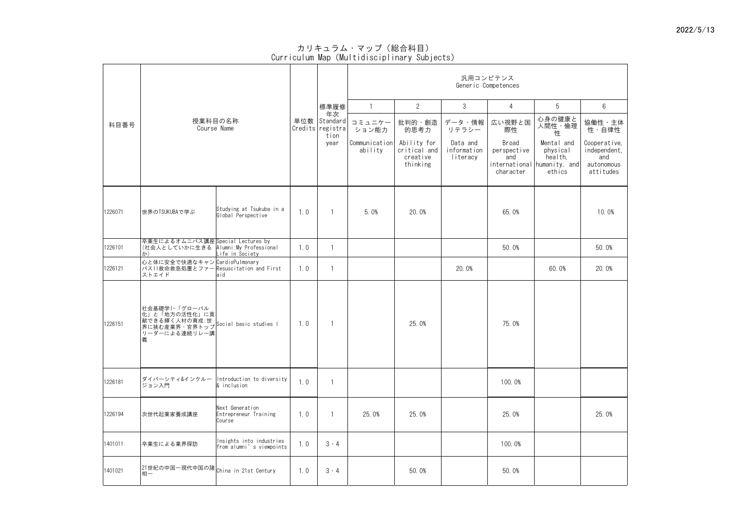|         |                                                                                                                       |                                                      |     |                                            |                          |                                                     |                                     | 汎用コンピテンス<br>Generic Competences                 |                                                                            |                                                                |
|---------|-----------------------------------------------------------------------------------------------------------------------|------------------------------------------------------|-----|--------------------------------------------|--------------------------|-----------------------------------------------------|-------------------------------------|-------------------------------------------------|----------------------------------------------------------------------------|----------------------------------------------------------------|
|         |                                                                                                                       |                                                      |     | 標準履修                                       |                          | $\overline{2}$                                      | $\mathcal{S}$                       | $\overline{4}$                                  | 5                                                                          | $6\phantom{.}6$                                                |
| 科目番号    |                                                                                                                       | 授業科目の名称<br>Course Name                               | 単位数 | 年次<br>Standard<br>Credits registra<br>tion | コミュニケー<br>ション能力          | 批判的・創造<br>的思考力                                      | データ・情報<br>リテラシー                     | 広い視野と国<br>際性                                    | 心身の健康と<br>人間性・倫理<br>性                                                      | 協働性·主体<br>性・自律性                                                |
|         |                                                                                                                       |                                                      |     | year                                       | Communication<br>ability | Ability for<br>critical and<br>creative<br>thinking | Data and<br>information<br>literacy | <b>Broad</b><br>perspective<br>and<br>character | Mental and<br>physical<br>health,<br>international humanity, and<br>ethics | Cooperative,<br>independent,<br>and<br>autonomous<br>attitudes |
| 1226071 | 世界のTSUKUBAで学ぶ                                                                                                         | Studying at Tsukuba in a<br>Global Perspective       | 1.0 |                                            | 5.0%                     | 20.0%                                               |                                     | 65.0%                                           |                                                                            | 10.0%                                                          |
| 1226101 | 卒業生によるオムニバス講座Special Lectures by<br>(社会人としていかに生きる Alumni:My Professional<br>$\mathcal{D}$                             | Life in Society                                      | 1.0 |                                            |                          |                                                     |                                     | 50.0%                                           |                                                                            | 50.0%                                                          |
| 1226121 | 心と体に安全で快適なキャン CardioPulmonary<br>パス  救命救急処置とファー Resuscitation and First<br>ストエイド                                      | aid                                                  | 1.0 |                                            |                          |                                                     | 20.0%                               |                                                 | 60.0%                                                                      | 20.0%                                                          |
| 1226151 | 社会基礎学 −「グローバル<br>  七  と「地方の活性化」に貢 <br> 献できる輝く人材の育成:世 <br> 界に挑む産業界・官界トップ  Social basic studies  <br>リーダーによる連続リレー講<br>義 |                                                      | 1.0 |                                            |                          | 25.0%                                               |                                     | 75.0%                                           |                                                                            |                                                                |
| 1226181 | ダイバーシティ&インクルー  Introduction to diversity  <br> ジョン入門                                                                  | $\&$ inclusion                                       | 1.0 |                                            |                          |                                                     |                                     | 100.0%                                          |                                                                            |                                                                |
| 1226194 | 次世代起業家養成講座                                                                                                            | Next Generation<br>Entrepreneur Training<br>Course   | 1.0 |                                            | 25.0%                    | 25.0%                                               |                                     | 25.0%                                           |                                                                            | 25.0%                                                          |
| 1401011 | 卒業生による業界探訪                                                                                                            | Insights into industries<br>from alumni's viewpoints | 1.0 | $3 \cdot 4$                                |                          |                                                     |                                     | 100.0%                                          |                                                                            |                                                                |
| 1401021 | 21世紀の中国一現代中国の諸 china in 21st Century<br>相一                                                                            |                                                      | 1.0 | $3 \cdot 4$                                |                          | 50.0%                                               |                                     | 50.0%                                           |                                                                            |                                                                |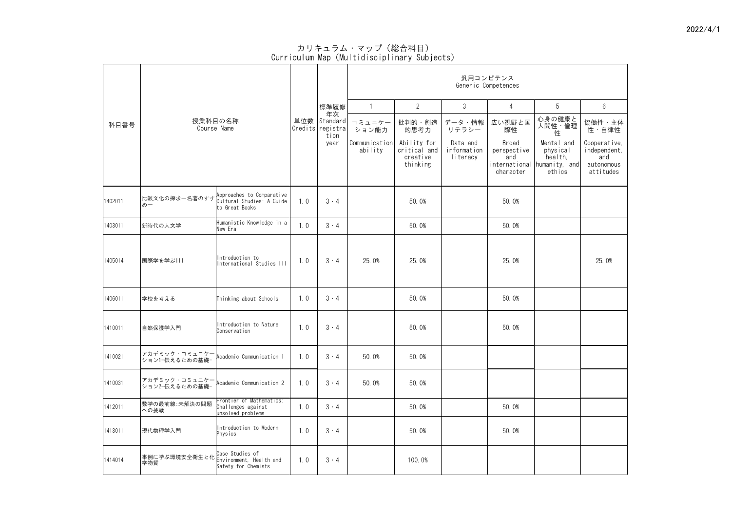|         |                                                            |                                                                          |     |                                                |                          |                                                     |                                     | 汎用コンピテンス<br>Generic Competences                 |                                                                            |                                                                |
|---------|------------------------------------------------------------|--------------------------------------------------------------------------|-----|------------------------------------------------|--------------------------|-----------------------------------------------------|-------------------------------------|-------------------------------------------------|----------------------------------------------------------------------------|----------------------------------------------------------------|
|         |                                                            |                                                                          |     | 標準履修                                           |                          | $\overline{2}$                                      | $\mathcal{S}$                       | 4                                               | 5                                                                          | $6\phantom{.}6$                                                |
| 科目番号    |                                                            | 授業科目の名称<br>Course Name                                                   |     | 年次<br>単位数 Standard<br>Credits registra<br>tion | コミュニケー<br>ション能力          | 批判的・創造<br>的思考力                                      | データ・情報<br>リテラシー                     | 広い視野と国<br>際性                                    | 心身の健康と<br>人間性・倫理<br>性                                                      | 協働性・主体<br>性・自律性                                                |
|         |                                                            |                                                                          |     | year                                           | Communication<br>ability | Ability for<br>critical and<br>creative<br>thinking | Data and<br>information<br>literacy | <b>Broad</b><br>perspective<br>and<br>character | Mental and<br>physical<br>health,<br>international humanity, and<br>ethics | Cooperative,<br>independent,<br>and<br>autonomous<br>attitudes |
| 1402011 | 比較文化の探求一名著のすす<br>めー                                        | Approaches to Comparative<br>Cultural Studies: A Guide<br>to Great Books | 1.0 | $3 \cdot 4$                                    |                          | 50.0%                                               |                                     | 50.0%                                           |                                                                            |                                                                |
| 1403011 | 新時代の人文学                                                    | Humanistic Knowledge in a<br>New Era                                     | 1.0 | $3 \cdot 4$                                    |                          | 50.0%                                               |                                     | 50.0%                                           |                                                                            |                                                                |
| 1405014 | 国際学を学ぶ                                                     | Introduction to<br>International Studies III                             | 1.0 | $3 \cdot 4$                                    | 25.0%                    | 25.0%                                               |                                     | 25.0%                                           |                                                                            | 25.0%                                                          |
| 1406011 | 学校を考える                                                     | Thinking about Schools                                                   | 1.0 | $3 \cdot 4$                                    |                          | 50.0%                                               |                                     | 50.0%                                           |                                                                            |                                                                |
| 1410011 | 自然保護学入門                                                    | Introduction to Nature<br>Conservation                                   | 1.0 | $3 \cdot 4$                                    |                          | 50.0%                                               |                                     | 50.0%                                           |                                                                            |                                                                |
| 1410021 | <mark>アカデミック・コミュニケー</mark><br>ション1−伝えるための基礎−               | Academic Communication 1                                                 | 1.0 | $3 \cdot 4$                                    | 50.0%                    | 50.0%                                               |                                     |                                                 |                                                                            |                                                                |
| 1410031 | アカデミック・コミュニケー <br> ション2−伝えるための基礎− Rcademic Communication 2 |                                                                          | 1.0 | $3 \cdot 4$                                    | 50.0%                    | 50.0%                                               |                                     |                                                 |                                                                            |                                                                |
| 1412011 | 教学の最前線:未解決の問題<br>への挑戦                                      | Frontier of Mathematics:<br>Challenges against<br>unsolved problems      | 1.0 | $3 \cdot 4$                                    |                          | 50.0%                                               |                                     | 50.0%                                           |                                                                            |                                                                |
| 1413011 | 現代物理学入門                                                    | Introduction to Modern<br>Physics                                        | 1.0 | $3 \cdot 4$                                    |                          | 50.0%                                               |                                     | 50.0%                                           |                                                                            |                                                                |
| 1414014 | 事例に学ぶ環境安全衛生と化<br>学物質                                       | Case Studies of<br>Environment, Health and<br>Safety for Chemists        | 1.0 | $3 \cdot 4$                                    |                          | 100.0%                                              |                                     |                                                 |                                                                            |                                                                |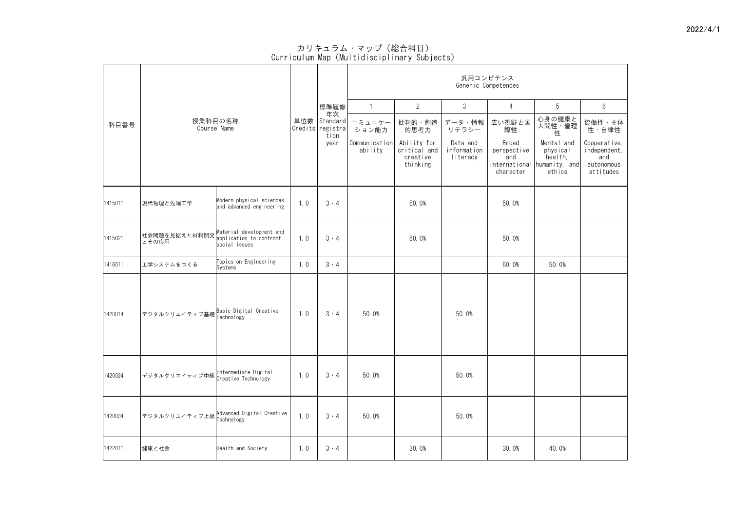|         |                                                                                             |     |                                                    |                          |                                                     |                                     | 汎用コンピテンス<br>Generic Competences          |                                                                            |                                                                |
|---------|---------------------------------------------------------------------------------------------|-----|----------------------------------------------------|--------------------------|-----------------------------------------------------|-------------------------------------|------------------------------------------|----------------------------------------------------------------------------|----------------------------------------------------------------|
|         |                                                                                             |     | 標準履修                                               |                          | $\overline{2}$                                      | $\mathfrak{S}$                      | 4                                        | 5                                                                          | $6\overline{6}$                                                |
| 科目番号    | 授業科目の名称<br>Course Name                                                                      |     | 年次<br>単位数   Standard  <br>Credits registra<br>tion | コミュニケー<br>ション能力          | 批判的・創造<br>的思考力                                      | データ・情報<br>リテラシー                     | 広い視野と国<br>際性                             | 心身の健康と<br>人間性・倫理<br>性                                                      | 協働性・主体<br>性・自律性                                                |
|         |                                                                                             |     | year                                               | Communication<br>ability | Ability for<br>critical and<br>creative<br>thinking | Data and<br>information<br>literacy | Broad<br>perspective<br>and<br>character | Mental and<br>physical<br>health,<br>international humanity, and<br>ethics | Cooperative,<br>independent,<br>and<br>autonomous<br>attitudes |
| 1415011 | Modern physical sciences<br>現代物理と先端工学<br>and advanced engineering                           | 1.0 | $3 \cdot 4$                                        |                          | 50.0%                                               |                                     | 50.0%                                    |                                                                            |                                                                |
| 1415021 | 社会問題を見据えた材料開発 Material development and<br>application to confront<br>とその応用<br>social issues | 1.0 | $3 \cdot 4$                                        |                          | 50.0%                                               |                                     | 50.0%                                    |                                                                            |                                                                |
| 1416011 | Topics on Engineering<br>工学システムをつくる<br>Systems                                              | 1.0 | $3 \cdot 4$                                        |                          |                                                     |                                     | 50.0%                                    | 50.0%                                                                      |                                                                |
| 1420014 | デジタルクリエイティブ基礎 Basic Digital Creative<br> デジタルクリエイティブ基礎 Technology                           | 1.0 | $3 \cdot 4$                                        | 50.0%                    |                                                     | 50.0%                               |                                          |                                                                            |                                                                |
| 1420024 | デジタルクリエイティブ中級 Intermediate Digital                                                          | 1.0 | $3 \cdot 4$                                        | 50.0%                    |                                                     | 50.0%                               |                                          |                                                                            |                                                                |
| 1420034 | デジタルクリエイティブ上級 Advanced Digital Creative                                                     | 1.0 | $3 \cdot 4$                                        | 50.0%                    |                                                     | 50.0%                               |                                          |                                                                            |                                                                |
| 1422011 | 健康と社会<br>Health and Society                                                                 | 1.0 | $3 \cdot 4$                                        |                          | 30.0%                                               |                                     | 30.0%                                    | 40.0%                                                                      |                                                                |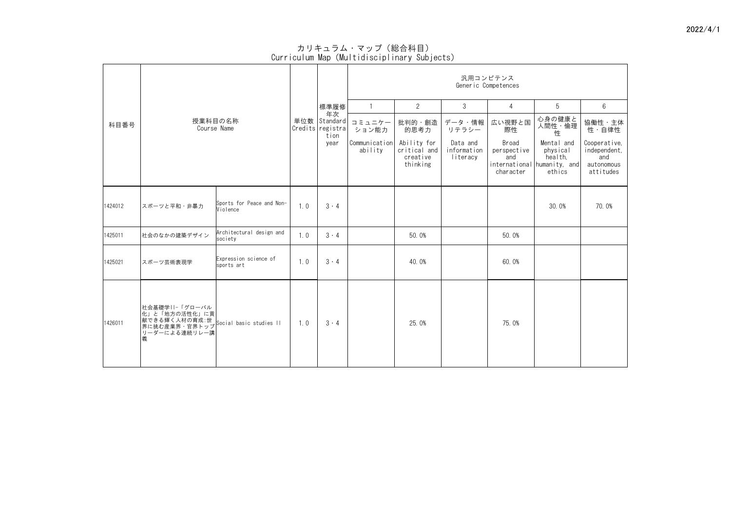|         |                                                                                                                       |                                       |     |                                                    | 汎用コンピテンス<br>Generic Competences |                                                     |                                     |                                                 |                                                                            |                                                                |  |  |
|---------|-----------------------------------------------------------------------------------------------------------------------|---------------------------------------|-----|----------------------------------------------------|---------------------------------|-----------------------------------------------------|-------------------------------------|-------------------------------------------------|----------------------------------------------------------------------------|----------------------------------------------------------------|--|--|
|         |                                                                                                                       |                                       |     | 標準履修                                               |                                 | $\overline{2}$                                      | 3                                   | $\overline{4}$                                  | 5                                                                          | $6\phantom{.}6$                                                |  |  |
| 科目番号    |                                                                                                                       | 授業科目の名称<br>Course Name                |     | 年次<br>単位数   Standard  <br>Credits registra<br>tion | コミュニケー<br>ション能力                 | 批判的・創造<br>的思考力                                      | データ・情報<br>リテラシー                     | 広い視野と国<br>際性                                    | 心身の健康と<br>人間性・倫理<br>性                                                      | 協働性・主体<br>性・自律性                                                |  |  |
|         |                                                                                                                       |                                       |     | year                                               | Communication <br>ability       | Ability for<br>critical and<br>creative<br>thinking | Data and<br>information<br>literacy | <b>Broad</b><br>perspective<br>and<br>character | Mental and<br>physical<br>health,<br>international humanity, and<br>ethics | Cooperative,<br>independent,<br>and<br>autonomous<br>attitudes |  |  |
| 1424012 | スポーツと平和・非暴力                                                                                                           | Sports for Peace and Non-<br>Violence | 1.0 | $3 \cdot 4$                                        |                                 |                                                     |                                     |                                                 | 30.0%                                                                      | 70.0%                                                          |  |  |
| 1425011 | 社会のなかの建築デザイン                                                                                                          | Architectural design and<br>society   | 1.0 | $3 \cdot 4$                                        |                                 | 50.0%                                               |                                     | 50.0%                                           |                                                                            |                                                                |  |  |
| 1425021 | スポーツ芸術表現学                                                                                                             | Expression science of<br>sports art   | 1.0 | $3 \cdot 4$                                        |                                 | 40.0%                                               |                                     | 60.0%                                           |                                                                            |                                                                |  |  |
| 1426011 | 社会基礎学  -「グローバル<br> 化」と「地方の活性化」に貢<br> 献できる輝く人材の育成:世 <br> 駅に挑む産業界・官界トップ  Social basic studies II <br>リーダーによる連続リレー講<br>義 |                                       | 1.0 | $3 \cdot 4$                                        |                                 | 25.0%                                               |                                     | 75.0%                                           |                                                                            |                                                                |  |  |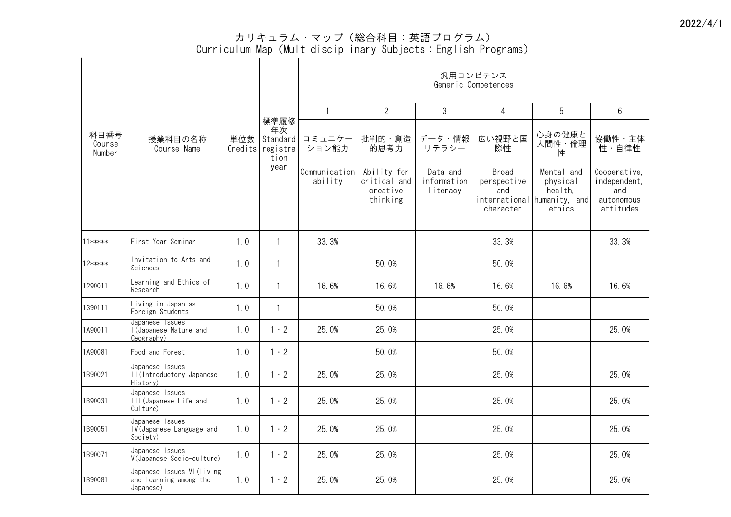|                          |                                                                     |     |                                                    |                          |                                                     | 汎用コンピテンス<br>Generic Competences     |                                          |                                                                            |                                                                |
|--------------------------|---------------------------------------------------------------------|-----|----------------------------------------------------|--------------------------|-----------------------------------------------------|-------------------------------------|------------------------------------------|----------------------------------------------------------------------------|----------------------------------------------------------------|
|                          |                                                                     |     |                                                    |                          | $\overline{2}$                                      | 3                                   | 4                                        | 5                                                                          | 6                                                              |
| 科目番号<br>Course<br>Number | 授業科目の名称<br>Course Name                                              | 単位数 | 標準履修<br>年次<br>Standard<br>Credits registra<br>tion | コミュニケー<br>ション能力          | 批判的・創造  <br>的思考力                                    | データ・情報<br>リテラシー                     | 広い視野と国<br>際性                             | 心身の健康と<br>人間性・倫理<br>性                                                      | 協働性・主体<br>性・自律性                                                |
|                          |                                                                     |     | year                                               | Communication<br>ability | Ability for<br>critical and<br>creative<br>thinking | Data and<br>information<br>literacy | Broad<br>perspective<br>and<br>character | Mental and<br>physical<br>health,<br>international humanity, and<br>ethics | Cooperative,<br>independent,<br>and<br>autonomous<br>attitudes |
| $11*****$                | First Year Seminar                                                  | 1.0 |                                                    | 33.3%                    |                                                     |                                     | 33.3%                                    |                                                                            | 33.3%                                                          |
| 12*****                  | Invitation to Arts and<br>Sciences                                  | 1.0 |                                                    |                          | 50.0%                                               |                                     | 50.0%                                    |                                                                            |                                                                |
| 1290011                  | Learning and Ethics of<br>Research                                  | 1.0 |                                                    | 16.6%                    | 16.6%                                               | 16.6%                               | 16.6%                                    | 16.6%                                                                      | 16.6%                                                          |
| 1390111                  | Living in Japan as<br>Foreign Students                              | 1.0 |                                                    |                          | 50.0%                                               |                                     | 50.0%                                    |                                                                            |                                                                |
| 1A90011                  | Japanese Issues<br>I (Japanese Nature and<br>Geography)             | 1.0 | $1 \cdot 2$                                        | 25.0%                    | 25.0%                                               |                                     | 25.0%                                    |                                                                            | 25.0%                                                          |
| 1A90081                  | Food and Forest                                                     | 1.0 | $1 \cdot 2$                                        |                          | 50.0%                                               |                                     | 50.0%                                    |                                                                            |                                                                |
| 1B90021                  | Japanese Issues<br>II (Introductory Japanese<br>History)            | 1.0 | $1 \cdot 2$                                        | 25.0%                    | 25.0%                                               |                                     | 25.0%                                    |                                                                            | 25.0%                                                          |
| 1B90031                  | Japanese Issues<br>III (Japanese Life and<br>Culture)               | 1.0 | $1 \cdot 2$                                        | 25.0%                    | 25.0%                                               |                                     | 25.0%                                    |                                                                            | 25.0%                                                          |
| 1B90051                  | Japanese Issues<br>IV (Japanese Language and<br>Society)            | 1.0 | $1 \cdot 2$                                        | 25.0%                    | 25.0%                                               |                                     | 25.0%                                    |                                                                            | 25.0%                                                          |
| 1B90071                  | Japanese Issues<br>V(Japanese Socio-culture)                        | 1.0 | $1 \cdot 2$                                        | 25.0%                    | 25.0%                                               |                                     | 25.0%                                    |                                                                            | 25.0%                                                          |
| 1B90081                  | Japanese Issues VI (Living  <br>and Learning among the<br>Japanese) | 1.0 | $1 \cdot 2$                                        | 25.0%                    | 25.0%                                               |                                     | 25.0%                                    |                                                                            | 25.0%                                                          |

カリキュラム・マップ(総合科目:英語プログラム)

## Curriculum Map(Multidisciplinary Subjects:English Programs)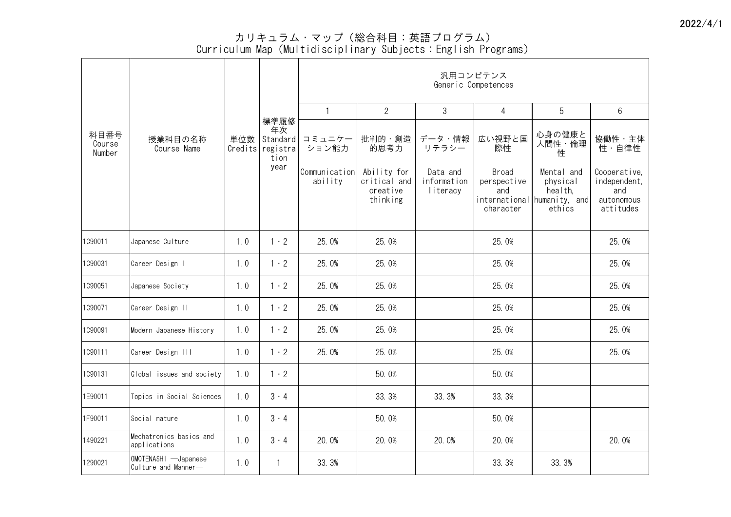カリキュラム・マップ(総合科目:英語プログラム)

Curriculum Map(Multidisciplinary Subjects:English Programs)

|                          |                                             |     |                                                      | 汎用コンピテンス<br>Generic Competences |                                                     |                                     |                                    |                                                                  |                                                   |  |  |  |  |  |
|--------------------------|---------------------------------------------|-----|------------------------------------------------------|---------------------------------|-----------------------------------------------------|-------------------------------------|------------------------------------|------------------------------------------------------------------|---------------------------------------------------|--|--|--|--|--|
|                          |                                             |     |                                                      |                                 | $\overline{2}$                                      | 3                                   | 4                                  | 5                                                                | 6                                                 |  |  |  |  |  |
| 科目番号<br>Course<br>Number | 授業科目の名称<br>Course Name                      | 単位数 | 標準履修<br>年次<br>Standard  <br>Credits registra<br>tion | コミュニケー<br>ション能力                 | 批判的・創造  <br>的思考力                                    | データ・情報<br>リテラシー                     | 広い視野と国<br>際性                       | 心身の健康と<br>人間性・倫理<br>性                                            | 協働性・主体<br>性·自律性                                   |  |  |  |  |  |
|                          |                                             |     | year                                                 | Communication<br>ability        | Ability for<br>critical and<br>creative<br>thinking | Data and<br>information<br>literacy | <b>Broad</b><br>perspective<br>and | Mental and<br>physical<br>health,<br>international humanity, and | Cooperative,<br>independent,<br>and<br>autonomous |  |  |  |  |  |
|                          |                                             |     |                                                      |                                 |                                                     |                                     | character                          | ethics                                                           | attitudes                                         |  |  |  |  |  |
| 1C90011                  | Japanese Culture                            | 1.0 | $\cdot$ 2                                            | 25.0%                           | 25.0%                                               |                                     | 25.0%                              |                                                                  | 25.0%                                             |  |  |  |  |  |
| 1090031                  | Career Design I                             | 1.0 | $\vert \cdot 2 \vert$                                | 25.0%                           | 25.0%                                               |                                     | 25.0%                              |                                                                  | 25.0%                                             |  |  |  |  |  |
| 1090051                  | Japanese Society                            | 1.0 | $1 \cdot 2$                                          | 25.0%                           | 25.0%                                               |                                     | 25.0%                              |                                                                  | 25.0%                                             |  |  |  |  |  |
| 1C90071                  | Career Design II                            | 1.0 | $1 \cdot 2$                                          | 25.0%                           | 25.0%                                               |                                     | 25.0%                              |                                                                  | 25.0%                                             |  |  |  |  |  |
| 1090091                  | Modern Japanese History                     | 1.0 | $1 \cdot 2$                                          | 25.0%                           | 25.0%                                               |                                     | 25.0%                              |                                                                  | 25.0%                                             |  |  |  |  |  |
| 1090111                  | Career Design III                           | 1.0 | $1 \cdot 2$                                          | 25.0%                           | 25.0%                                               |                                     | 25.0%                              |                                                                  | 25.0%                                             |  |  |  |  |  |
| 1090131                  | Global issues and society                   | 1.0 | $1 \cdot 2$                                          |                                 | 50.0%                                               |                                     | 50.0%                              |                                                                  |                                                   |  |  |  |  |  |
| 1E90011                  | Topics in Social Sciences                   | 1.0 | $3 \cdot 4$                                          |                                 | 33.3%                                               | 33.3%                               | 33.3%                              |                                                                  |                                                   |  |  |  |  |  |
| 1F90011                  | Social nature                               | 1.0 | $3 \cdot 4$                                          |                                 | 50.0%                                               |                                     | 50.0%                              |                                                                  |                                                   |  |  |  |  |  |
| 1490221                  | Mechatronics basics and<br>applications     | 1.0 | $3 \cdot 4$                                          | 20.0%                           | 20.0%                                               | 20.0%                               | 20.0%                              |                                                                  | 20.0%                                             |  |  |  |  |  |
| 1290021                  | OMOTENASHI -Japanese<br>Culture and Manner- | 1.0 |                                                      | 33.3%                           |                                                     |                                     | 33.3%                              | 33.3%                                                            |                                                   |  |  |  |  |  |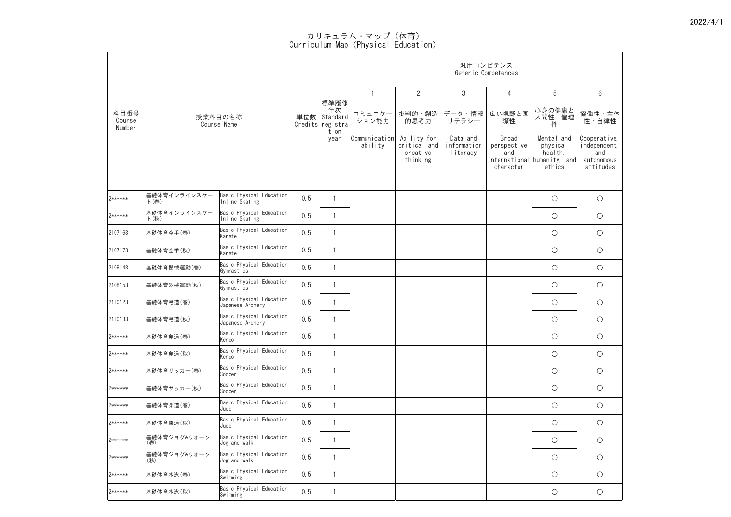|                          |                      |                                              |     |                                                         |                          |                                                     |                                     | 汎用コンピテンス<br>Generic Competences<br>5<br>4<br>心身の健康と<br>広い視野と国 |                                                                            |                                                                |
|--------------------------|----------------------|----------------------------------------------|-----|---------------------------------------------------------|--------------------------|-----------------------------------------------------|-------------------------------------|---------------------------------------------------------------|----------------------------------------------------------------------------|----------------------------------------------------------------|
|                          |                      |                                              |     |                                                         |                          | $\overline{2}$                                      | $\mathfrak{S}$                      |                                                               |                                                                            | $6\overline{6}$                                                |
| 科目番号<br>Course<br>Number |                      | 授業科目の名称<br>Course Name                       |     | 標準履修<br>年次<br>単位数 Standard<br> Credits registra<br>tion | コミュニケー<br>ション能力          | 批判的・創造<br>的思考力                                      | データ・情報<br>リテラシー                     | 際性                                                            | 人間性・倫理<br>性                                                                | 協働性·主体<br>性・自律性                                                |
|                          |                      |                                              |     | year                                                    | Communication<br>ability | Ability for<br>critical and<br>creative<br>thinking | Data and<br>information<br>literacy | Broad<br>perspective<br>and<br>character                      | Mental and<br>physical<br>health,<br>international humanity, and<br>ethics | Cooperative,<br>independent,<br>and<br>autonomous<br>attitudes |
| 2******                  | 基礎体育インラインスケー<br>ト(春) | Basic Physical Education<br>Inline Skating   | 0.5 |                                                         |                          |                                                     |                                     |                                                               | $\bigcirc$                                                                 | $\bigcirc$                                                     |
| 2******                  | 基礎体育インラインスケー<br>ト(秋) | Basic Physical Education<br>Inline Skating   | 0.5 |                                                         |                          |                                                     |                                     |                                                               | $\bigcirc$                                                                 | $\bigcirc$                                                     |
| 2107163                  | 基礎体育空手(春)            | Basic Physical Education<br>Karate           | 0.5 |                                                         |                          |                                                     |                                     |                                                               | $\bigcirc$                                                                 | $\bigcirc$                                                     |
| 2107173                  | 基礎体育空手(秋)            | Basic Physical Education<br>Karate           | 0.5 |                                                         |                          |                                                     |                                     |                                                               | $\bigcirc$                                                                 | $\bigcirc$                                                     |
| 2108143                  | 基礎体育器械運動(春)          | Basic Physical Education<br>Gymnastics       | 0.5 |                                                         |                          |                                                     |                                     |                                                               | $\bigcirc$                                                                 | $\bigcirc$                                                     |
| 2108153                  | 基礎体育器械運動(秋)          | Basic Physical Education<br>Gymnastics       | 0.5 |                                                         |                          |                                                     |                                     |                                                               | $\bigcirc$                                                                 | $\bigcirc$                                                     |
| 2110123                  | 基礎体育弓道(春)            | Basic Physical Education<br>Japanese Archery | 0.5 |                                                         |                          |                                                     |                                     |                                                               | $\bigcirc$                                                                 | $\bigcirc$                                                     |
| 2110133                  | 基礎体育弓道(秋)            | Basic Physical Education<br>Japanese Archery | 0.5 |                                                         |                          |                                                     |                                     |                                                               | $\bigcirc$                                                                 | $\bigcirc$                                                     |
| 2******                  | 基礎体育剣道(春)            | Basic Physical Education<br>Kendo            | 0.5 |                                                         |                          |                                                     |                                     |                                                               | $\bigcirc$                                                                 | $\bigcirc$                                                     |
| 2******                  | 基礎体育剣道(秋)            | Basic Physical Education<br>Kendo            | 0.5 |                                                         |                          |                                                     |                                     |                                                               | $\bigcirc$                                                                 | $\bigcirc$                                                     |
| 2******                  | 基礎体育サッカー(春)          | Basic Physical Education<br>Soccer           | 0.5 |                                                         |                          |                                                     |                                     |                                                               | $\bigcirc$                                                                 | $\bigcirc$                                                     |
| 2******                  | 基礎体育サッカー(秋)          | Basic Physical Education<br>Soccer           | 0.5 |                                                         |                          |                                                     |                                     |                                                               | $\bigcirc$                                                                 | $\bigcirc$                                                     |
| 2******                  | 基礎体育柔道(春)            | Basic Physical Education<br>Judo             | 0.5 |                                                         |                          |                                                     |                                     |                                                               | $\bigcirc$                                                                 | $\bigcirc$                                                     |
| 2******                  | 基礎体育柔道(秋)            | Basic Physical Education<br>Judo             | 0.5 |                                                         |                          |                                                     |                                     |                                                               | $\bigcirc$                                                                 | $\bigcirc$                                                     |
| 2******                  | 基礎体育ジョグ&ウォーク<br>(春)  | Basic Physical Education<br>Jog and walk     | 0.5 |                                                         |                          |                                                     |                                     |                                                               | $\bigcirc$                                                                 | $\bigcirc$                                                     |
| 2******                  | 基礎体育ジョグ&ウォーク<br>(秋)  | Basic Physical Education<br>Jog and walk     | 0.5 |                                                         |                          |                                                     |                                     |                                                               | $\bigcirc$                                                                 | $\bigcirc$                                                     |
| 2******                  | 基礎体育水泳(春)            | Basic Physical Education<br>Swimming         | 0.5 |                                                         |                          |                                                     |                                     |                                                               | О                                                                          | $\bigcirc$                                                     |
| 2******                  | 基礎体育水泳(秋)            | Basic Physical Education<br>Swimming         | 0.5 |                                                         |                          |                                                     |                                     |                                                               | $\bigcirc$                                                                 | $\bigcirc$                                                     |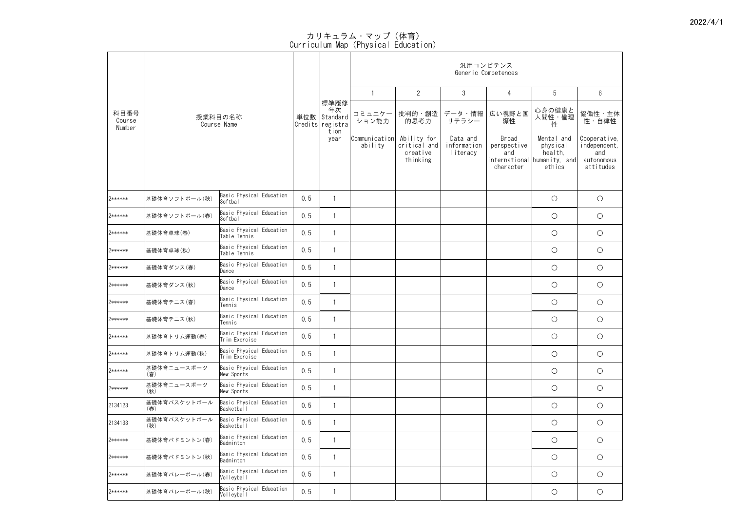|                          |                     |                                           |     |                                                         |                          |                                                     |                                     | 汎用コンピテンス<br>Generic Competences          |                                                                            |                                                                |
|--------------------------|---------------------|-------------------------------------------|-----|---------------------------------------------------------|--------------------------|-----------------------------------------------------|-------------------------------------|------------------------------------------|----------------------------------------------------------------------------|----------------------------------------------------------------|
|                          |                     |                                           |     |                                                         |                          | $\overline{2}$                                      | $\mathfrak{S}$                      | 4                                        | 5                                                                          | $6\overline{6}$                                                |
| 科目番号<br>Course<br>Number |                     | 授業科目の名称<br>Course Name                    |     | 標準履修<br>年次<br>単位数 Standard<br> Credits registra<br>tion | コミュニケー<br>ション能力          | 批判的・創造  <br>的思考力                                    | データ・情報 <br>リテラシー                    | 広い視野と国<br>際性                             | 心身の健康と<br>人間性・倫理<br>性                                                      | 協働性·主体<br>性・自律性                                                |
|                          |                     |                                           |     | year                                                    | Communication<br>ability | Ability for<br>critical and<br>creative<br>thinking | Data and<br>information<br>literacy | Broad<br>perspective<br>and<br>character | Mental and<br>physical<br>health,<br>international humanity, and<br>ethics | Cooperative,<br>independent,<br>and<br>autonomous<br>attitudes |
| 2******                  | 基礎体育ソフトボール(秋)       | Basic Physical Education<br>Softball      | 0.5 |                                                         |                          |                                                     |                                     |                                          | $\bigcirc$                                                                 | $\bigcirc$                                                     |
| 2******                  | 基礎体育ソフトボール(春)       | Basic Physical Education<br>Softball      | 0.5 |                                                         |                          |                                                     |                                     |                                          | $\bigcirc$                                                                 | $\bigcirc$                                                     |
| 2******                  | 基礎体育卓球(春)           | Basic Physical Education<br>Table Tennis  | 0.5 |                                                         |                          |                                                     |                                     |                                          | $\bigcirc$                                                                 | $\bigcirc$                                                     |
| 2******                  | 基礎体育卓球(秋)           | Basic Physical Education<br>Table Tennis  | 0.5 |                                                         |                          |                                                     |                                     |                                          | $\bigcirc$                                                                 | $\bigcirc$                                                     |
| 2******                  | 基礎体育ダンス(春)          | Basic Physical Education<br>Dance         | 0.5 |                                                         |                          |                                                     |                                     |                                          | $\bigcirc$                                                                 | $\bigcirc$                                                     |
| 2******                  | 基礎体育ダンス(秋)          | Basic Physical Education<br>Dance         | 0.5 |                                                         |                          |                                                     |                                     |                                          | $\bigcirc$                                                                 | $\bigcirc$                                                     |
| 2******                  | 基礎体育テニス(春)          | Basic Physical Education<br>Tennis        | 0.5 |                                                         |                          |                                                     |                                     |                                          | $\bigcirc$                                                                 | $\bigcirc$                                                     |
| 2******                  | 基礎体育テニス(秋)          | Basic Physical Education<br>Tennis        | 0.5 |                                                         |                          |                                                     |                                     |                                          | $\bigcirc$                                                                 | $\bigcirc$                                                     |
| 2******                  | 基礎体育トリム運動(春)        | Basic Physical Education<br>Trim Exercise | 0.5 |                                                         |                          |                                                     |                                     |                                          | $\bigcirc$                                                                 | $\bigcirc$                                                     |
| 2******                  | 基礎体育トリム運動(秋)        | Basic Physical Education<br>Trim Exercise | 0.5 |                                                         |                          |                                                     |                                     |                                          | $\bigcirc$                                                                 | $\bigcirc$                                                     |
| 2******                  | 基礎体育ニュースポーツ<br>(春)  | Basic Physical Education<br>New Sports    | 0.5 |                                                         |                          |                                                     |                                     |                                          | $\bigcirc$                                                                 | $\bigcirc$                                                     |
| 2******                  | 基礎体育ニュースポーツ<br>(秋)  | Basic Physical Education<br>New Sports    | 0.5 |                                                         |                          |                                                     |                                     |                                          | $\bigcirc$                                                                 | $\bigcirc$                                                     |
| 2134123                  | 基礎体育バスケットボール<br>(春) | Basic Physical Education<br>Basketball    | 0.5 |                                                         |                          |                                                     |                                     |                                          | $\bigcirc$                                                                 | $\bigcirc$                                                     |
| 2134133                  | 基礎体育バスケットボール<br>(秋) | Basic Physical Education<br>Basketball    | 0.5 |                                                         |                          |                                                     |                                     |                                          | $\bigcirc$                                                                 | $\bigcirc$                                                     |
| 2******                  | 基礎体育バドミントン(春)       | Basic Physical Education<br>Badminton     | 0.5 |                                                         |                          |                                                     |                                     |                                          | $\bigcirc$                                                                 | $\bigcirc$                                                     |
| 2******                  | 基礎体育バドミントン(秋)       | Basic Physical Education<br>Badminton     | 0.5 |                                                         |                          |                                                     |                                     |                                          | $\bigcirc$                                                                 | $\bigcirc$                                                     |
| 2******                  | 基礎体育バレーボール(春)       | Basic Physical Education<br>Volleyball    | 0.5 |                                                         |                          |                                                     |                                     |                                          | $\bigcirc$                                                                 | $\bigcirc$                                                     |
| 2******                  | 基礎体育バレーボール(秋)       | Basic Physical Education<br>Volleyball    | 0.5 |                                                         |                          |                                                     |                                     |                                          | $\bigcirc$                                                                 | $\bigcirc$                                                     |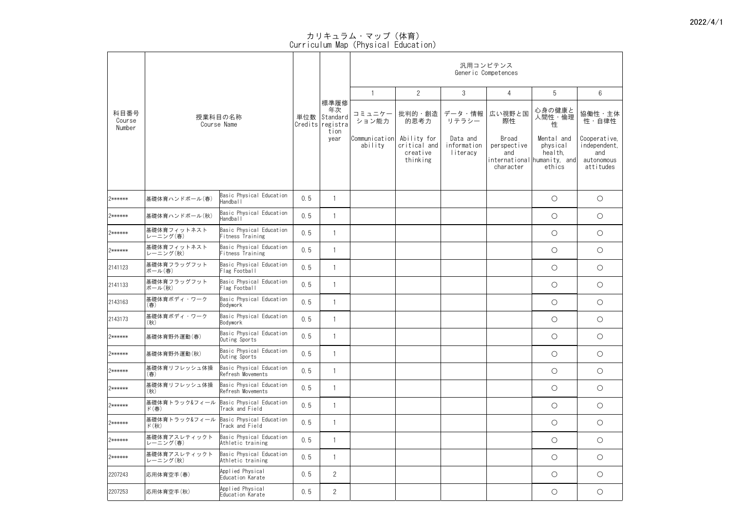|                          |                                                            |                                               |     | 汎用コンピテンス<br>Generic Competences                             |                          |                                                     |                                     |                                          |                                                                            |                                                                |
|--------------------------|------------------------------------------------------------|-----------------------------------------------|-----|-------------------------------------------------------------|--------------------------|-----------------------------------------------------|-------------------------------------|------------------------------------------|----------------------------------------------------------------------------|----------------------------------------------------------------|
|                          |                                                            |                                               |     |                                                             |                          | $\overline{2}$                                      | 3                                   | 4                                        | 5                                                                          | $6\overline{6}$                                                |
| 科目番号<br>Course<br>Number |                                                            | 授業科目の名称<br>Course Name                        |     | 標準履修 <br>年次<br>単位数   Standard  <br>Credits registra<br>tion | コミュニケー<br>ション能力          | 的思考力                                                | 批判的・創造   データ・情報<br>リテラシー            | 広い視野と国<br>際性                             | 心身の健康と<br>人間性・倫理<br>性                                                      | 協働性·主体<br>性・自律性                                                |
|                          |                                                            |                                               |     | year                                                        | Communication<br>ability | Ability for<br>critical and<br>creative<br>thinking | Data and<br>information<br>literacy | Broad<br>perspective<br>and<br>character | Mental and<br>physical<br>health,<br>international humanity, and<br>ethics | Cooperative,<br>independent,<br>and<br>autonomous<br>attitudes |
| 2******                  | 基礎体育ハンドボール(春)                                              | Basic Physical Education<br>Handball          | 0.5 |                                                             |                          |                                                     |                                     |                                          | $\bigcirc$                                                                 | $\bigcirc$                                                     |
| 2******                  | 基礎体育ハンドボール(秋)                                              | Basic Physical Education<br>Handball          | 0.5 |                                                             |                          |                                                     |                                     |                                          | $\bigcirc$                                                                 | $\bigcirc$                                                     |
| 2******                  | 基礎体育フィットネスト<br>レーニング(春)                                    | Basic Physical Education<br>Fitness Training  | 0.5 |                                                             |                          |                                                     |                                     |                                          | $\bigcirc$                                                                 | $\bigcirc$                                                     |
| 2******                  | 基礎体育フィットネスト<br>レーニング(秋)                                    | Basic Physical Education<br>Fitness Training  | 0.5 |                                                             |                          |                                                     |                                     |                                          | $\bigcirc$                                                                 | $\bigcirc$                                                     |
| 2141123                  | 基礎体育フラッグフット<br>ボール(春)                                      | Basic Physical Education<br>Flag Football     | 0.5 |                                                             |                          |                                                     |                                     |                                          | $\bigcirc$                                                                 | $\bigcirc$                                                     |
| 2141133                  | 基礎体育フラッグフット<br>ボール(秋)                                      | Basic Physical Education<br>Flag Football     | 0.5 |                                                             |                          |                                                     |                                     |                                          | $\bigcirc$                                                                 | $\bigcirc$                                                     |
| 2143163                  | 基礎体育ボディ・ワーク<br>(春)                                         | Basic Physical Education<br>Bodywork          | 0.5 |                                                             |                          |                                                     |                                     |                                          | $\bigcirc$                                                                 | $\bigcirc$                                                     |
| 2143173                  | 基礎体育ボディ・ワーク<br>(秋)                                         | Basic Physical Education<br>Bodywork          | 0.5 |                                                             |                          |                                                     |                                     |                                          | $\bigcirc$                                                                 | $\bigcirc$                                                     |
| 2******                  | 基礎体育野外運動(春)                                                | Basic Physical Education<br>Outing Sports     | 0.5 |                                                             |                          |                                                     |                                     |                                          | $\bigcirc$                                                                 | $\bigcirc$                                                     |
| 2******                  | 基礎体育野外運動(秋)                                                | Basic Physical Education<br>Outing Sports     | 0.5 |                                                             |                          |                                                     |                                     |                                          | $\bigcirc$                                                                 | $\bigcirc$                                                     |
| 2******                  | 基礎体育リフレッシュ体操<br>(春)                                        | Basic Physical Education<br>Refresh Movements | 0.5 |                                                             |                          |                                                     |                                     |                                          | $\bigcirc$                                                                 | $\bigcirc$                                                     |
| 2******                  | 基礎体育リフレッシュ体操 <br>(秋)                                       | Basic Physical Education<br>Refresh Movements | 0.5 |                                                             |                          |                                                     |                                     |                                          | $\bigcirc$                                                                 | $\bigcirc$                                                     |
| 2******                  | 基礎体育トラック&フィール  Basic Physical Education<br>ド(春)            | Track and Field                               | 0.5 |                                                             |                          |                                                     |                                     |                                          | $\bigcirc$                                                                 | $\bigcirc$                                                     |
| 2******                  | 基礎体育トラック&フィール Basic Physical Education<br>ド $(\mathrm{N})$ | Track and Field                               | 0.5 |                                                             |                          |                                                     |                                     |                                          | $\bigcirc$                                                                 | $\bigcirc$                                                     |
| 2******                  | 基礎体育アスレティックト<br>レーニング(春)                                   | Basic Physical Education<br>Athletic training | 0.5 |                                                             |                          |                                                     |                                     |                                          | $\bigcirc$                                                                 | $\bigcirc$                                                     |
| 2******                  | 基礎体育アスレティックト<br>レーニング(秋)                                   | Basic Physical Education<br>Athletic training | 0.5 |                                                             |                          |                                                     |                                     |                                          | $\bigcirc$                                                                 | $\bigcirc$                                                     |
| 2207243                  | 応用体育空手(春)                                                  | Applied Physical<br>Education Karate          | 0.5 | $\overline{2}$                                              |                          |                                                     |                                     |                                          | $\bigcirc$                                                                 | $\bigcirc$                                                     |
| 2207253                  | 応用体育空手(秋)                                                  | Applied Physical<br>Education Karate          | 0.5 | $\overline{2}$                                              |                          |                                                     |                                     |                                          | $\bigcirc$                                                                 | $\bigcirc$                                                     |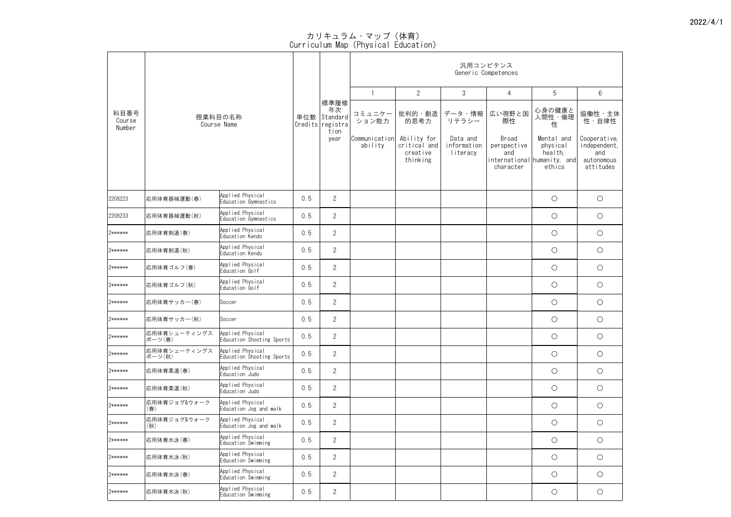|                          |                         |                                               |     |                                                |                          |                                                     |                                     | 汎用コンピテンス<br>Generic Competences          |                                                                            |                                                                |
|--------------------------|-------------------------|-----------------------------------------------|-----|------------------------------------------------|--------------------------|-----------------------------------------------------|-------------------------------------|------------------------------------------|----------------------------------------------------------------------------|----------------------------------------------------------------|
|                          |                         |                                               |     |                                                |                          | $\overline{2}$                                      | $\mathfrak{S}$                      | $\overline{4}$                           | 5                                                                          | $6\overline{6}$                                                |
| 科目番号<br>Course<br>Number |                         | 授業科目の名称<br>Course Name                        |     | 標準履修<br>年次<br>単位数 Standard<br>Credits registra | コミュニケー<br>ション能力          | 批判的・創造<br>的思考力                                      | データ・情報<br>リテラシー                     | 広い視野と国<br>際性                             | 心身の健康と<br>人間性・倫理<br>性                                                      | 協働性・主体<br>性・自律性                                                |
|                          |                         |                                               |     | tion<br>year                                   | Communication<br>ability | Ability for<br>critical and<br>creative<br>thinking | Data and<br>information<br>literacy | Broad<br>perspective<br>and<br>character | Mental and<br>physical<br>health,<br>international humanity, and<br>ethics | Cooperative,<br>independent,<br>and<br>autonomous<br>attitudes |
| 2208223                  | 応用体育器械運動(春)             | Applied Physical<br>Education Gymnastics      | 0.5 | $\overline{2}$                                 |                          |                                                     |                                     |                                          | $\bigcirc$                                                                 | $\bigcirc$                                                     |
| 2208233                  | 応用体育器械運動(秋)             | Applied Physical<br>Education Gymnastics      | 0.5 | $\overline{2}$                                 |                          |                                                     |                                     |                                          | $\bigcirc$                                                                 | $\bigcirc$                                                     |
| 2******                  | 応用体育剣道(春)               | Applied Physical<br>Education Kendo           | 0.5 | $\overline{2}$                                 |                          |                                                     |                                     |                                          | $\bigcirc$                                                                 | $\bigcirc$                                                     |
| 2******                  | 応用体育剣道(秋)               | Applied Physical<br>Education Kendo           | 0.5 | $\overline{2}$                                 |                          |                                                     |                                     |                                          | $\bigcirc$                                                                 | $\bigcirc$                                                     |
| 2******                  | 応用体育ゴルフ(春)              | Applied Physical<br>Education Golf            | 0.5 | $\overline{2}$                                 |                          |                                                     |                                     |                                          | $\bigcirc$                                                                 | $\bigcirc$                                                     |
| 2******                  | 応用体育ゴルフ(秋)              | Applied Physical<br>Education Golf            | 0.5 | $\overline{2}$                                 |                          |                                                     |                                     |                                          | $\bigcirc$                                                                 | $\bigcirc$                                                     |
| 2******                  | 応用体育サッカー(春)             | Soccer                                        | 0.5 | $\overline{2}$                                 |                          |                                                     |                                     |                                          | $\bigcirc$                                                                 | $\bigcirc$                                                     |
| 2******                  | 応用体育サッカー(秋)             | Soccer                                        | 0.5 | $\overline{2}$                                 |                          |                                                     |                                     |                                          | $\bigcirc$                                                                 | $\bigcirc$                                                     |
| 2******                  | 応用体育シューティングス <br>ポーツ(春) | Applied Physical<br>Education Shooting Sports | 0.5 | $\overline{2}$                                 |                          |                                                     |                                     |                                          | $\bigcirc$                                                                 | $\bigcirc$                                                     |
| 2******                  | 応用体育シューティングス<br>ポーツ(秋)  | Applied Physical<br>Education Shooting Sports | 0.5 | $\overline{2}$                                 |                          |                                                     |                                     |                                          | $\bigcirc$                                                                 | $\bigcirc$                                                     |
| 2******                  | 応用体育柔道(春)               | Applied Physical<br>Education Judo            | 0.5 | $\overline{2}$                                 |                          |                                                     |                                     |                                          | $\bigcirc$                                                                 | $\bigcirc$                                                     |
| 2******                  | 応用体育柔道(秋)               | Applied Physical<br>Education Judo            | 0.5 | $\overline{2}$                                 |                          |                                                     |                                     |                                          | $\bigcirc$                                                                 | $\bigcirc$                                                     |
| 2******                  | 応用体育ジョグ&ウォーク<br>(春)     | Applied Physical<br>Education Jog and walk    | 0.5 | $\overline{2}$                                 |                          |                                                     |                                     |                                          | $\bigcirc$                                                                 | $\bigcirc$                                                     |
| 2******                  | 応用体育ジョグ&ウォーク<br>(秋)     | Applied Physical<br>Education Jog and walk    | 0.5 | $\overline{2}$                                 |                          |                                                     |                                     |                                          | $\bigcirc$                                                                 | $\bigcirc$                                                     |
| 2******                  | 応用体育水泳(春)               | Applied Physical<br>Education Swimming        | 0.5 | $\overline{2}$                                 |                          |                                                     |                                     |                                          | $\bigcirc$                                                                 | $\bigcirc$                                                     |
| 2******                  | 応用体育水泳(秋)               | Applied Physical<br>Education Swimming        | 0.5 | $\overline{2}$                                 |                          |                                                     |                                     |                                          | $\bigcirc$                                                                 | $\bigcirc$                                                     |
| 2******                  | 応用体育水泳(春)               | Applied Physical<br>Education Swimming        | 0.5 | $\overline{2}$                                 |                          |                                                     |                                     |                                          | $\bigcirc$                                                                 | $\bigcirc$                                                     |
| 2******                  | 応用体育水泳(秋)               | Applied Physical<br>Education Swimming        | 0.5 | $\overline{2}$                                 |                          |                                                     |                                     |                                          | $\bigcirc$                                                                 | $\bigcirc$                                                     |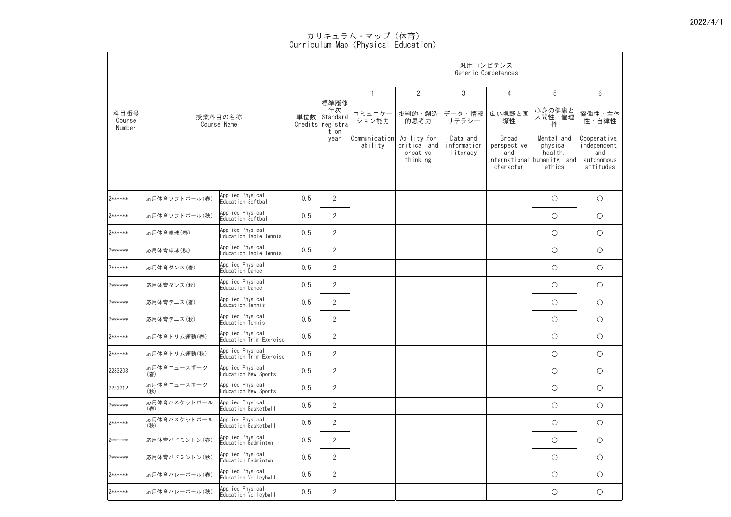|                          | 授業科目の名称             |                                             |     |                                            |                          |                                                     |                                     | 汎用コンピテンス<br>Generic Competences          |                                                                            |                                                                |
|--------------------------|---------------------|---------------------------------------------|-----|--------------------------------------------|--------------------------|-----------------------------------------------------|-------------------------------------|------------------------------------------|----------------------------------------------------------------------------|----------------------------------------------------------------|
|                          |                     |                                             |     |                                            |                          | $\overline{2}$                                      | 3                                   | $\overline{4}$                           | 5                                                                          | $6\overline{6}$                                                |
| 科目番号<br>Course<br>Number |                     | Course Name                                 | 単位数 | 標準履修<br>年次<br>Standard<br>Credits registra | コミュニケー<br>ション能力          | 批判的・創造  <br>的思考力                                    | データ・情報<br>リテラシー                     | 広い視野と国<br>際性                             | 心身の健康と<br>人間性・倫理<br>性                                                      | 協働性・主体<br>性・自律性                                                |
|                          |                     |                                             |     | tion<br>year                               | Communication<br>ability | Ability for<br>critical and<br>creative<br>thinking | Data and<br>information<br>literacy | Broad<br>perspective<br>and<br>character | Mental and<br>physical<br>health,<br>international humanity, and<br>ethics | Cooperative,<br>independent,<br>and<br>autonomous<br>attitudes |
| 2******                  | 応用体育ソフトボール(春)       | Applied Physical<br>Education Softball      | 0.5 | $\overline{2}$                             |                          |                                                     |                                     |                                          | $\bigcirc$                                                                 | $\bigcirc$                                                     |
| 2******                  | 応用体育ソフトボール(秋)       | Applied Physical<br>Education Softball      | 0.5 | $\overline{2}$                             |                          |                                                     |                                     |                                          | $\bigcirc$                                                                 | $\bigcirc$                                                     |
| 2******                  | 応用体育卓球(春)           | Applied Physical<br>Education Table Tennis  | 0.5 | $\overline{2}$                             |                          |                                                     |                                     |                                          | $\bigcirc$                                                                 | $\bigcirc$                                                     |
| 2******                  | 応用体育卓球(秋)           | Applied Physical<br>Education Table Tennis  | 0.5 | $\overline{2}$                             |                          |                                                     |                                     |                                          | $\bigcirc$                                                                 | $\bigcirc$                                                     |
| 2******                  | 応用体育ダンス(春)          | Applied Physical<br>Education Dance         | 0.5 | $\overline{2}$                             |                          |                                                     |                                     |                                          | $\bigcirc$                                                                 | $\bigcirc$                                                     |
| 2******                  | 応用体育ダンス(秋)          | Applied Physical<br>Education Dance         | 0.5 | $\overline{2}$                             |                          |                                                     |                                     |                                          | $\bigcirc$                                                                 | $\bigcirc$                                                     |
| 2******                  | 応用体育テニス(春)          | Applied Physical<br>Education Tennis        | 0.5 | $\overline{2}$                             |                          |                                                     |                                     |                                          | $\bigcirc$                                                                 | $\bigcirc$                                                     |
| 2******                  | 応用体育テニス(秋)          | Applied Physical<br>Education Tennis        | 0.5 | $\overline{2}$                             |                          |                                                     |                                     |                                          | $\bigcirc$                                                                 | $\bigcirc$                                                     |
| 2******                  | 応用体育トリム運動(春)        | Applied Physical<br>Education Trim Exercise | 0.5 | $\overline{2}$                             |                          |                                                     |                                     |                                          | $\bigcirc$                                                                 | $\bigcirc$                                                     |
| 2******                  | 応用体育トリム運動(秋)        | Applied Physical<br>Education Trim Exercise | 0.5 | $\overline{2}$                             |                          |                                                     |                                     |                                          | $\bigcirc$                                                                 | $\bigcirc$                                                     |
| 2233203                  | 応用体育ニュースポーツ<br>(春)  | Applied Physical<br>Education New Sports    | 0.5 | $\overline{2}$                             |                          |                                                     |                                     |                                          | $\bigcirc$                                                                 | $\bigcirc$                                                     |
| 2233212                  | 応用体育ニュースポーツ<br>(秋)  | Applied Physical<br>Education New Sports    | 0.5 | $\overline{2}$                             |                          |                                                     |                                     |                                          | $\bigcirc$                                                                 | $\bigcirc$                                                     |
| 2******                  | 応用体育バスケットボール<br>(春) | Applied Physical<br>Education Basketball    | 0.5 | $\overline{2}$                             |                          |                                                     |                                     |                                          | $\bigcirc$                                                                 | $\bigcirc$                                                     |
| 2******                  | 応用体育バスケットボール<br>(秋) | Applied Physical<br>Education Basketball    | 0.5 | $\overline{2}$                             |                          |                                                     |                                     |                                          | $\bigcirc$                                                                 | $\bigcirc$                                                     |
| 2******                  | 応用体育バドミントン(春)       | Applied Physical<br>Education Badminton     | 0.5 | $\overline{2}$                             |                          |                                                     |                                     |                                          | $\bigcirc$                                                                 | $\bigcirc$                                                     |
| 2******                  | 応用体育バドミントン(秋)       | Applied Physical<br>Education Badminton     | 0.5 | $\overline{2}$                             |                          |                                                     |                                     |                                          | $\bigcirc$                                                                 | $\bigcirc$                                                     |
| 2******                  | 応用体育バレーボール(春)       | Applied Physical<br>Education Volleyball    | 0.5 | $\overline{2}$                             |                          |                                                     |                                     |                                          | $\bigcirc$                                                                 | $\bigcirc$                                                     |
| 2******                  | 応用体育バレーボール(秋)       | Applied Physical<br>Education Volleyball    | 0.5 | $\overline{2}$                             |                          |                                                     |                                     |                                          | $\bigcirc$                                                                 | $\bigcirc$                                                     |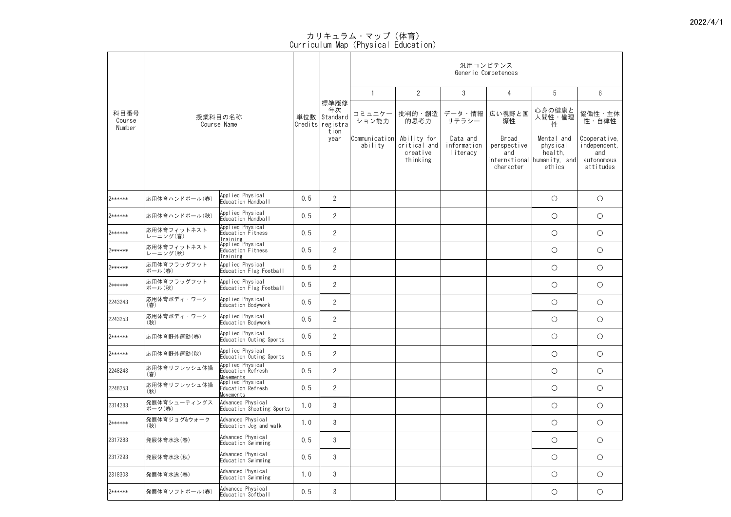|                          | 授業科目の名称                 |                                                                               |     |                                             |                          |                                                       |                                     | 汎用コンピテンス<br>Generic Competences          |                                                                            |                                                                |
|--------------------------|-------------------------|-------------------------------------------------------------------------------|-----|---------------------------------------------|--------------------------|-------------------------------------------------------|-------------------------------------|------------------------------------------|----------------------------------------------------------------------------|----------------------------------------------------------------|
|                          |                         |                                                                               |     |                                             |                          | $\overline{2}$                                        | 3                                   | 4                                        | 5                                                                          | $6\overline{6}$                                                |
| 科目番号<br>Course<br>Number |                         | Course Name                                                                   | 単位数 | 標準履修 <br>年次<br>Standard<br>Credits registra | コミュニケー<br>ション能力          | 批判的・創造  <br>的思考力                                      | データ・情報<br>リテラシー                     | 広い視野と国<br>際性                             | 心身の健康と<br>人間性・倫理<br>性                                                      | 協働性·主体<br>………<br>性・自律性                                         |
|                          |                         |                                                                               |     | tion<br>year                                | Communication<br>ability | Ability for<br>critical and  <br>creative<br>thinking | Data and<br>information<br>literacy | Broad<br>perspective<br>and<br>character | Mental and<br>physical<br>health,<br>international humanity, and<br>ethics | Cooperative,<br>independent,<br>and<br>autonomous<br>attitudes |
| 2******                  | 応用体育ハンドボール(春)           | Applied Physical<br>Education Handball                                        | 0.5 | $\overline{2}$                              |                          |                                                       |                                     |                                          | $\bigcirc$                                                                 | $\bigcirc$                                                     |
| 2******                  | 応用体育ハンドボール(秋)           | Applied Physical<br>Education Handball                                        | 0.5 | $\overline{2}$                              |                          |                                                       |                                     |                                          | $\bigcirc$                                                                 | $\bigcirc$                                                     |
| 2******                  | 応用体育フィットネスト<br>レーニング(春) | Applied Physical<br>Education Fitness                                         | 0.5 | $\overline{2}$                              |                          |                                                       |                                     |                                          | $\bigcirc$                                                                 | $\bigcirc$                                                     |
| 2******                  | 応用体育フィットネスト<br>レーニング(秋) | <u>Training</u><br> Applied Physical<br>Education Fitness<br><b>Training</b>  | 0.5 | $\overline{2}$                              |                          |                                                       |                                     |                                          | $\bigcirc$                                                                 | $\bigcirc$                                                     |
| 2******                  | 応用体育フラッグフット<br>ボール(春)   | Applied Physical<br>Education Flag Football                                   | 0.5 | $\overline{2}$                              |                          |                                                       |                                     |                                          | $\bigcirc$                                                                 | $\bigcirc$                                                     |
| 2******                  | 応用体育フラッグフット<br>ボール(秋)   | Applied Physical<br>Education Flag Football                                   | 0.5 | $\overline{2}$                              |                          |                                                       |                                     |                                          | $\bigcirc$                                                                 | $\bigcirc$                                                     |
| 2243243                  | 応用体育ボディ・ワーク<br>(春)      | Applied Physical<br>Education Bodywork                                        | 0.5 | $\overline{2}$                              |                          |                                                       |                                     |                                          | $\bigcirc$                                                                 | $\bigcirc$                                                     |
| 2243253                  | 応用体育ボディ・ワーク<br>(秋)      | Applied Physical<br>Education Bodywork                                        | 0.5 | $\overline{2}$                              |                          |                                                       |                                     |                                          | $\bigcirc$                                                                 | $\bigcirc$                                                     |
| 2******                  | 応用体育野外運動(春)             | Applied Physical<br>Education Outing Sports                                   | 0.5 | $\overline{2}$                              |                          |                                                       |                                     |                                          | $\bigcirc$                                                                 | $\bigcirc$                                                     |
| 2******                  | 応用体育野外運動(秋)             | Applied Physical<br>Education Outing Sports                                   | 0.5 | $\overline{2}$                              |                          |                                                       |                                     |                                          | $\bigcirc$                                                                 | $\bigcirc$                                                     |
| 2248243                  | 応用体育リフレッシュ体操<br>(春)     | Applied Physical<br>Education Refresh<br><u>Movements</u><br>Applied Physical | 0.5 | $\overline{2}$                              |                          |                                                       |                                     |                                          | $\bigcirc$                                                                 | $\bigcirc$                                                     |
| 2248253                  | 応用体育リフレッシュ体操<br>(秋)     | Education Refresh<br><b>Movements</b>                                         | 0.5 | $\overline{2}$                              |                          |                                                       |                                     |                                          | $\bigcirc$                                                                 | $\bigcirc$                                                     |
| 2314283                  | 発展体育シューティングス<br>ポーツ(春)  | Advanced Physical<br>Education Shooting Sports                                | 1.0 | $\mathfrak{S}$                              |                          |                                                       |                                     |                                          | $\bigcirc$                                                                 | $\bigcirc$                                                     |
| 2******                  | 発展体育ジョグ&ウォーク<br>(秋)     | Advanced Physical<br>Education Jog and walk                                   | 1.0 | 3                                           |                          |                                                       |                                     |                                          | $\bigcirc$                                                                 | $\bigcirc$                                                     |
| 2317283                  | 発展体育水泳(春)               | Advanced Physical<br>Education Swimming                                       | 0.5 | $\mathfrak{S}$                              |                          |                                                       |                                     |                                          | $\bigcirc$                                                                 | $\bigcirc$                                                     |
| 2317293                  | 発展体育水泳(秋)               | Advanced Physical<br>Education Swimming                                       | 0.5 | $\mathfrak{S}$                              |                          |                                                       |                                     |                                          | $\bigcirc$                                                                 | $\bigcirc$                                                     |
| 2318303                  | 発展体育水泳(春)               | Advanced Physical<br>Education Swimming                                       | 1.0 | 3                                           |                          |                                                       |                                     |                                          | $\bigcirc$                                                                 | $\bigcirc$                                                     |
| 2******                  | 発展体育ソフトボール(春)           | Advanced Physical<br>Education Softball                                       | 0.5 | 3                                           |                          |                                                       |                                     |                                          | $\bigcirc$                                                                 | $\bigcirc$                                                     |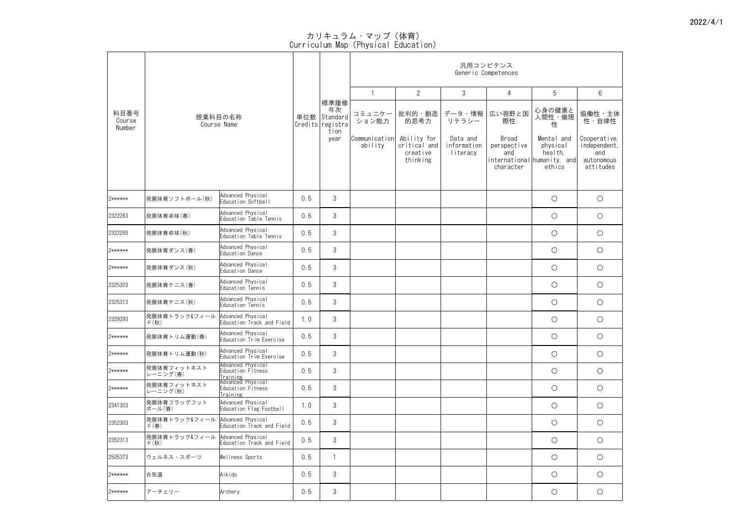|                          |                                                     |                                                    |     |                                                    |                          |                                                     |                                     | 汎用コンピテンス<br>Generic Competences          |                                                                            |                                                                |
|--------------------------|-----------------------------------------------------|----------------------------------------------------|-----|----------------------------------------------------|--------------------------|-----------------------------------------------------|-------------------------------------|------------------------------------------|----------------------------------------------------------------------------|----------------------------------------------------------------|
|                          |                                                     |                                                    |     |                                                    |                          | $\overline{2}$                                      | 3                                   | 4                                        | 5                                                                          | $6\overline{6}$                                                |
| 科目番号<br>Course<br>Number |                                                     | 授業科目の名称<br>Course Name                             | 単位数 | 標準履修<br>年次<br>Standard<br>Credits registra<br>tion | コミュニケー<br>ション能力          | 批判的・創造  <br>的思考力                                    | データ・情報<br>リテラシー                     | 広い視野と国<br>際性                             | 心身の健康と<br>人間性・倫理<br>性                                                      | 協働性・主体<br>性・自律性                                                |
|                          |                                                     |                                                    |     | year                                               | Communication<br>ability | Ability for<br>critical and<br>creative<br>thinking | Data and<br>information<br>literacy | Broad<br>perspective<br>and<br>character | Mental and<br>physical<br>health,<br>international humanity, and<br>ethics | Cooperative,<br>independent,<br>and<br>autonomous<br>attitudes |
| 2******                  | 発展体育ソフトボール(秋)                                       | Advanced Physical<br>Education Softball            | 0.5 | $\mathfrak{S}$                                     |                          |                                                     |                                     |                                          | $\bigcirc$                                                                 | $\bigcirc$                                                     |
| 2322283                  | 発展体育卓球(春)                                           | Advanced Physical<br>Education Table Tennis        | 0.5 | $\mathfrak{S}$                                     |                          |                                                     |                                     |                                          | $\bigcirc$                                                                 | $\bigcirc$                                                     |
| 2322293                  | 発展体育卓球(秋)                                           | Advanced Physical<br>Education Table Tennis        | 0.5 | $\mathcal{S}$                                      |                          |                                                     |                                     |                                          | $\bigcirc$                                                                 | $\bigcirc$                                                     |
| 2******                  | 発展体育ダンス(春)                                          | Advanced Physical<br>Education Dance               | 0.5 | 3                                                  |                          |                                                     |                                     |                                          | $\bigcirc$                                                                 | $\bigcirc$                                                     |
| 2******                  | 発展体育ダンス(秋)                                          | Advanced Physical<br>Education Dance               | 0.5 | 3                                                  |                          |                                                     |                                     |                                          | O                                                                          | $\bigcirc$                                                     |
| 2325303                  | 発展体育テニス(春)                                          | Advanced Physical<br>Education Tennis              | 0.5 | $\mathcal{S}$                                      |                          |                                                     |                                     |                                          | $\bigcirc$                                                                 | $\bigcirc$                                                     |
| 2325313                  | 発展体育テニス(秋)                                          | Advanced Physical<br>Education Tennis              | 0.5 | 3                                                  |                          |                                                     |                                     |                                          | $\bigcirc$                                                                 | $\bigcirc$                                                     |
| 2329293                  | 発展体育トラック&フィール<br>ド(秋)                               | Advanced Physical<br>Education Track and Field     | 1.0 | $\mathfrak{S}$                                     |                          |                                                     |                                     |                                          | $\bigcirc$                                                                 | $\bigcirc$                                                     |
| 2******                  | 発展体育トリム運動(春)                                        | Advanced Physical<br>Education Trim Exercise       | 0.5 | 3                                                  |                          |                                                     |                                     |                                          | $\bigcirc$                                                                 | $\bigcirc$                                                     |
| 2******                  | 発展体育トリム運動(秋)                                        | Advanced Physical<br>Education Trim Exercise       | 0.5 | 3                                                  |                          |                                                     |                                     |                                          | $\bigcirc$                                                                 | $\bigcirc$                                                     |
| 2******                  | 発展体育フィットネスト<br>レーニング(春)                             | Advanced Physical<br>Education Fitness<br>Training | 0.5 | 3                                                  |                          |                                                     |                                     |                                          | $\bigcirc$                                                                 | $\bigcirc$                                                     |
| 2******                  | 発展体育フィットネスト<br>レーニング(秋)                             | Advanced Physical<br>Education Fitness<br>Training | 0.5 | $\mathfrak{S}$                                     |                          |                                                     |                                     |                                          | $\bigcirc$                                                                 | $\bigcirc$                                                     |
| 2341303                  | 発展体育フラッグフット<br>ボール(春)                               | Advanced Physical<br>Education Flag Football       | 1.0 | $\mathfrak{Z}$                                     |                          |                                                     |                                     |                                          | $\bigcirc$                                                                 | $\bigcirc$                                                     |
| 2352303                  | 発展体育トラック&フィール<br>ド $(\bar{\mathbf{a}})$             | Advanced Physical<br>Education Track and Field     | 0.5 | 3                                                  |                          |                                                     |                                     |                                          | $\bigcirc$                                                                 | $\bigcirc$                                                     |
| 2352313                  | 発展体育トラック&フィール Advanced Physical<br>ド $(\mathrm{N})$ | Education Track and Field                          | 0.5 | $\mathfrak{S}$                                     |                          |                                                     |                                     |                                          | $\bigcirc$                                                                 | $\bigcirc$                                                     |
| 2505373                  | ウェルネス・スポーツ                                          | Wellness Sports                                    | 0.5 |                                                    |                          |                                                     |                                     |                                          | $\bigcirc$                                                                 | $\bigcirc$                                                     |
| 2******                  | 合気道                                                 | Aikido                                             | 0.5 | 3                                                  |                          |                                                     |                                     |                                          | $\bigcirc$                                                                 | $\bigcirc$                                                     |
| 2******                  | アーチェリー                                              | Archery                                            | 0.5 | 3                                                  |                          |                                                     |                                     |                                          | $\bigcirc$                                                                 | $\bigcirc$                                                     |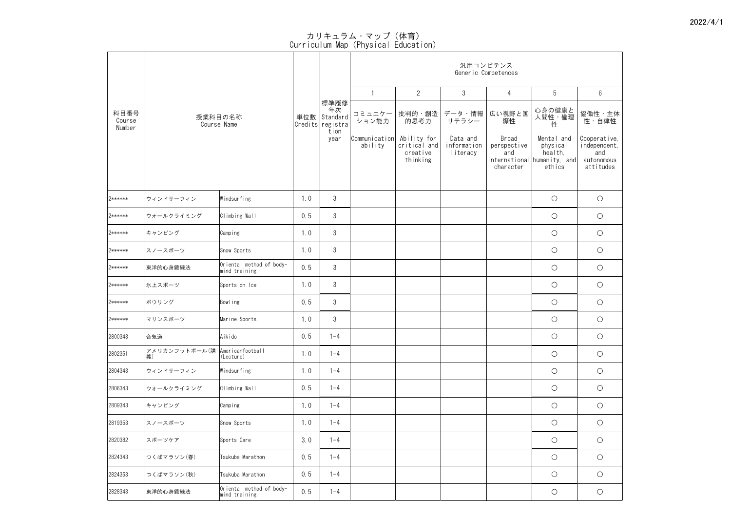|                          |                     |                                           |     |                                                  |                          |                                                     |                                     | 汎用コンピテンス<br>Generic Competences          |                                                                            |                                                                |
|--------------------------|---------------------|-------------------------------------------|-----|--------------------------------------------------|--------------------------|-----------------------------------------------------|-------------------------------------|------------------------------------------|----------------------------------------------------------------------------|----------------------------------------------------------------|
|                          |                     |                                           |     |                                                  |                          | $\overline{2}$                                      | $\mathfrak{S}$                      | $\overline{4}$                           | 5                                                                          | $6\overline{6}$                                                |
| 科目番号<br>Course<br>Number |                     | 授業科目の名称<br>Course Name                    |     | 標準履修 <br>年次<br>単位数 Standard<br>Credits registral | コミュニケー<br>ション能力          | 的思考力                                                | 批判的・創造   データ・情報  <br>リテラシー          | 広い視野と国<br>際性                             | 心身の健康と<br>人間性・倫理<br>性                                                      | 協働性・主体<br>性・自律性                                                |
|                          |                     |                                           |     | tion<br>year                                     | Communication<br>ability | Ability for<br>critical and<br>creative<br>thinking | Data and<br>information<br>literacy | Broad<br>perspective<br>and<br>character | Mental and<br>physical<br>health,<br>international humanity, and<br>ethics | Cooperative,<br>independent,<br>and<br>autonomous<br>attitudes |
| 2******                  | ウィンドサーフィン           | Windsurfing                               | 1.0 | $\mathfrak{S}$                                   |                          |                                                     |                                     |                                          | $\bigcirc$                                                                 | $\bigcirc$                                                     |
| 2******                  | ウォールクライミング          | Climbing Wall                             | 0.5 | $\mathfrak{S}$                                   |                          |                                                     |                                     |                                          | $\bigcirc$                                                                 | $\bigcirc$                                                     |
| 2******                  | キャンピング              | Camping                                   | 1.0 | $\mathfrak{S}$                                   |                          |                                                     |                                     |                                          | $\bigcirc$                                                                 | $\bigcirc$                                                     |
| 2******                  | スノースポーツ             | Snow Sports                               | 1.0 | $\mathfrak{Z}$                                   |                          |                                                     |                                     |                                          | $\bigcirc$                                                                 | $\bigcirc$                                                     |
| 2******                  | 東洋的心身鍛練法            | Oriental method of body-<br>mind training | 0.5 | $\mathcal{S}$                                    |                          |                                                     |                                     |                                          | $\bigcirc$                                                                 | $\bigcirc$                                                     |
| 2******                  | 氷上スポーツ              | Sports on Ice                             | 1.0 | $\mathfrak{S}$                                   |                          |                                                     |                                     |                                          | $\bigcirc$                                                                 | $\bigcirc$                                                     |
| 2******                  | ボウリング               | Bowling                                   | 0.5 | $\mathfrak{S}$                                   |                          |                                                     |                                     |                                          | $\bigcirc$                                                                 | $\bigcirc$                                                     |
| 2******                  | マリンスポーツ             | Marine Sports                             | 1.0 | $\mathfrak{S}$                                   |                          |                                                     |                                     |                                          | $\bigcirc$                                                                 | $\bigcirc$                                                     |
| 2800343                  | 合気道                 | Aikido                                    | 0.5 | $1 - 4$                                          |                          |                                                     |                                     |                                          | $\bigcirc$                                                                 | $\bigcirc$                                                     |
| 2802351                  | アメリカンフットボール(講<br>義) | Americanfootball<br>(Lecture)             | 1.0 | $1 - 4$                                          |                          |                                                     |                                     |                                          | $\bigcirc$                                                                 | $\bigcirc$                                                     |
| 2804343                  | ウィンドサーフィン           | Windsurfing                               | 1.0 | $1 - 4$                                          |                          |                                                     |                                     |                                          | $\bigcirc$                                                                 | $\bigcirc$                                                     |
| 2806343                  | ウォールクライミング          | Climbing Wall                             | 0.5 | $1 - 4$                                          |                          |                                                     |                                     |                                          | $\bigcirc$                                                                 | $\bigcirc$                                                     |
| 2809343                  | キャンピング              | Camping                                   | 1.0 | $1 - 4$                                          |                          |                                                     |                                     |                                          | $\bigcirc$                                                                 | $\bigcirc$                                                     |
| 2819353                  | スノースポーツ             | Snow Sports                               | 1.0 | $1 - 4$                                          |                          |                                                     |                                     |                                          | $\bigcirc$                                                                 | $\bigcirc$                                                     |
| 2820382                  | スポーツケア              | Sports Care                               | 3.0 | $1 - 4$                                          |                          |                                                     |                                     |                                          | $\bigcirc$                                                                 | $\bigcirc$                                                     |
| 2824343                  | つくばマラソン(春)          | Tsukuba Marathon                          | 0.5 | $1 - 4$                                          |                          |                                                     |                                     |                                          | $\bigcirc$                                                                 | $\bigcirc$                                                     |
| 2824353                  | つくばマラソン(秋)          | Tsukuba Marathon                          | 0.5 | $ -4$                                            |                          |                                                     |                                     |                                          | $\bigcirc$                                                                 | $\bigcirc$                                                     |
| 2828343                  | 東洋的心身鍛練法            | Oriental method of body-<br>mind training | 0.5 | $ -4$                                            |                          |                                                     |                                     |                                          | $\bigcirc$                                                                 | $\bigcirc$                                                     |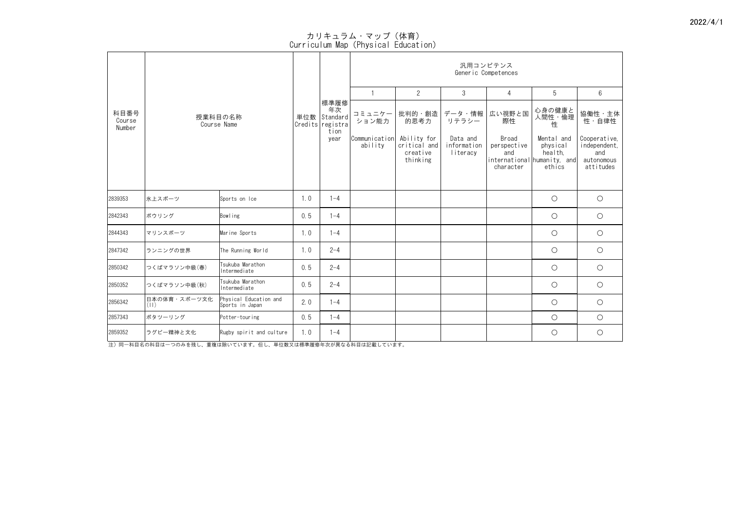Curriculum Map(Physical Education)

|                          |                      |                                           |     |                                                        |                           |                                                     |                                     | 汎用コンピテンス<br>Generic Competences          |                                                                            |                                                                |
|--------------------------|----------------------|-------------------------------------------|-----|--------------------------------------------------------|---------------------------|-----------------------------------------------------|-------------------------------------|------------------------------------------|----------------------------------------------------------------------------|----------------------------------------------------------------|
|                          |                      |                                           |     |                                                        |                           | $\overline{2}$                                      | 3                                   | $\overline{4}$                           | 5                                                                          | $6\phantom{.}6$                                                |
| 科目番号<br>Course<br>Number |                      | 授業科目の名称<br>Course Name                    |     | 標準履修<br>年次<br>単位数 Standard<br>Credits registra<br>tion | コミュニケー<br>ション能力           | 批判的・創造  <br>的思考力                                    | データ・情報<br>リテラシー                     | 広い視野と国<br>際性                             | 心身の健康と<br>人間性・倫理<br>性                                                      | 協働性・主体<br>性・自律性                                                |
|                          |                      |                                           |     | year                                                   | Communication <br>ability | Ability for<br>critical and<br>creative<br>thinking | Data and<br>information<br>literacy | Broad<br>perspective<br>and<br>character | Mental and<br>physical<br>health,<br>international humanity, and<br>ethics | Cooperative,<br>independent,<br>and<br>autonomous<br>attitudes |
| 2839353                  | 氷上スポーツ               | Sports on Ice                             | 1.0 | $1 - 4$                                                |                           |                                                     |                                     |                                          | $\bigcirc$                                                                 | $\bigcirc$                                                     |
| 2842343                  | ボウリング                | Bowling                                   | 0.5 | $1 - 4$                                                |                           |                                                     |                                     |                                          | $\bigcirc$                                                                 | $\bigcirc$                                                     |
| 2844343                  | マリンスポーツ              | Marine Sports                             | 1.0 | $1 - 4$                                                |                           |                                                     |                                     |                                          | $\bigcirc$                                                                 | $\bigcirc$                                                     |
| 2847342                  | ランニングの世界             | The Running World                         | 1.0 | $2 - 4$                                                |                           |                                                     |                                     |                                          | $\bigcirc$                                                                 | $\bigcirc$                                                     |
| 2850342                  | つくばマラソン中級(春)         | Tsukuba Marathon<br>Intermediate          | 0.5 | $2 - 4$                                                |                           |                                                     |                                     |                                          | $\bigcirc$                                                                 | $\bigcirc$                                                     |
| 2850352                  | つくばマラソン中級(秋)         | Tsukuba Marathon<br>Intermediate          | 0.5 | $2 - 4$                                                |                           |                                                     |                                     |                                          | $\bigcirc$                                                                 | $\bigcirc$                                                     |
| 2856342                  | 日本の体育・スポーツ文化<br>(11) | Physical Education and<br>Sports in Japan | 2.0 | $1 - 4$                                                |                           |                                                     |                                     |                                          | $\bigcirc$                                                                 | $\bigcirc$                                                     |
| 2857343                  | ポタツーリング              | Potter-touring                            | 0.5 | $1 - 4$                                                |                           |                                                     |                                     |                                          | $\bigcirc$                                                                 | $\bigcirc$                                                     |
| 2859352                  | ラグビー精神と文化            | Rugby spirit and culture                  | 1.0 | $1 - 4$                                                |                           |                                                     |                                     |                                          | $\bigcirc$                                                                 | $\bigcirc$                                                     |

注)同一科目名の科目は一つのみを残し、重複は除いています。但し、単位数又は標準履修年次が異なる科目は記載しています。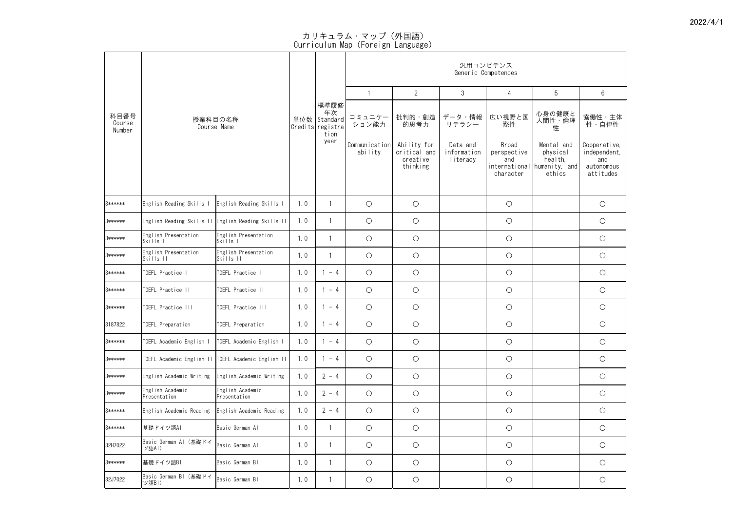|                          |                                                       |                                                                           |     |                                                                |                                  |                                      |                             | 汎用コンピテンス<br>Generic Competences |                                                              |                                                |
|--------------------------|-------------------------------------------------------|---------------------------------------------------------------------------|-----|----------------------------------------------------------------|----------------------------------|--------------------------------------|-----------------------------|---------------------------------|--------------------------------------------------------------|------------------------------------------------|
|                          |                                                       |                                                                           |     |                                                                |                                  | $\overline{2}$                       | $\mathfrak{S}$              | 4                               | 5                                                            | 6                                              |
| 科目番号<br>Course<br>Number |                                                       | 授業科目の名称<br>Course Name                                                    |     | 標準履修<br>年次<br>単位数 Standard<br>Credits registra<br>tion<br>year | コミュニケー<br>ション能力<br>Communication | 批判的・創造<br>的思考力<br>Ability for        | データ・情報<br>リテラシー<br>Data and | 広い視野と国<br>際性<br>Broad           | 心身の健康と<br>人間性・倫理<br>性<br>Mental and                          | 協働性・主体<br>性・自律性<br>Cooperative,                |
|                          |                                                       |                                                                           |     |                                                                | ability                          | critical and<br>creative<br>thinking | information<br>literacy     | perspective<br>and<br>character | physical<br>health,<br>international humanity, and<br>ethics | independent,<br>and<br>autonomous<br>attitudes |
| 3******                  | English Reading Skills I                              | English Reading Skills I                                                  | 1.0 |                                                                | $\bigcirc$                       | $\bigcirc$                           |                             | $\bigcirc$                      |                                                              | $\bigcirc$                                     |
| 3******                  | English Reading Skills II English Reading Skills II   |                                                                           | 1.0 |                                                                | $\bigcirc$                       | $\bigcirc$                           |                             | $\bigcirc$                      |                                                              | $\bigcirc$                                     |
| 3******                  | English Presentation<br>Skills I                      | English Presentation<br>Skills I                                          | 1.0 |                                                                | $\bigcirc$                       | $\bigcirc$                           |                             | $\bigcirc$                      |                                                              | $\bigcirc$                                     |
| 3******                  | English Presentation<br>Skills II                     | English Presentation<br>$\overline{\text{Skills}}$ $\overline{\text{II}}$ | 1.0 |                                                                | $\bigcirc$                       | $\bigcirc$                           |                             | $\bigcirc$                      |                                                              | $\bigcirc$                                     |
| 3******                  | TOEFL Practice I                                      | TOEFL Practice                                                            | 1.0 | $-4$                                                           | $\bigcirc$                       | $\bigcirc$                           |                             | $\bigcirc$                      |                                                              | $\bigcirc$                                     |
| 3******                  | TOEFL Practice II                                     | TOEFL Practice II                                                         | 1.0 | $-4$                                                           | $\bigcirc$                       | $\bigcirc$                           |                             | $\bigcirc$                      |                                                              | $\bigcirc$                                     |
| 3******                  | TOEFL Practice III                                    | TOEFL Practice III                                                        | 1.0 | $-4$                                                           | $\bigcirc$                       | $\bigcirc$                           |                             | $\bigcirc$                      |                                                              | $\bigcirc$                                     |
| 3187822                  | TOEFL Preparation                                     | TOEFL Preparation                                                         | 1.0 | $-4$                                                           | $\bigcirc$                       | $\bigcirc$                           |                             | $\bigcirc$                      |                                                              | $\bigcirc$                                     |
| 3******                  | TOEFL Academic English I                              | TOEFL Academic English I                                                  | 1.0 | $-4$                                                           | $\bigcirc$                       | $\bigcirc$                           |                             | $\bigcirc$                      |                                                              | $\bigcirc$                                     |
| 3******                  | TOEFL Academic English II   TOEFL Academic English II |                                                                           | 1.0 | $-4$                                                           | $\bigcirc$                       | $\bigcirc$                           |                             | $\bigcirc$                      |                                                              | $\bigcirc$                                     |
| 3******                  | English Academic Writing                              | English Academic Writing                                                  | 1.0 | $2 - 4$                                                        | $\bigcirc$                       | $\bigcirc$                           |                             | $\bigcirc$                      |                                                              | $\bigcirc$                                     |
| 3******                  | English Academic<br>Presentation                      | English Academic<br>Presentation                                          | 1.0 | $2 - 4$                                                        | $\bigcirc$                       | $\bigcirc$                           |                             | $\bigcirc$                      |                                                              | $\bigcirc$                                     |
| 3******                  | English Academic Reading                              | English Academic Reading                                                  | 1.0 | $2 - 4$                                                        | $\bigcirc$                       | $\bigcirc$                           |                             | $\bigcirc$                      |                                                              | $\bigcirc$                                     |
| 3******                  | 基礎ドイツ語AI                                              | Basic German Al                                                           | 1.0 |                                                                | $\bigcirc$                       | $\bigcirc$                           |                             | $\bigcirc$                      |                                                              | $\bigcirc$                                     |
| 32H7022                  | Basic German Al(基礎ドイ<br>ツ語AI)                         | Basic German Al                                                           | 1.0 |                                                                | $\bigcirc$                       | $\bigcirc$                           |                             | $\bigcirc$                      |                                                              | $\bigcirc$                                     |
| 3******                  | │基礎ドイツ語BI                                             | Basic German Bl                                                           | 1.0 |                                                                | $\bigcirc$                       | $\bigcirc$                           |                             | $\bigcirc$                      |                                                              | $\bigcirc$                                     |
| 32J7022                  | Basic German BI (基礎ドイ<br>ツ語BI)                        | Basic German Bl                                                           | 1.0 |                                                                | $\bigcirc$                       | $\bigcirc$                           |                             | $\bigcirc$                      |                                                              | $\bigcirc$                                     |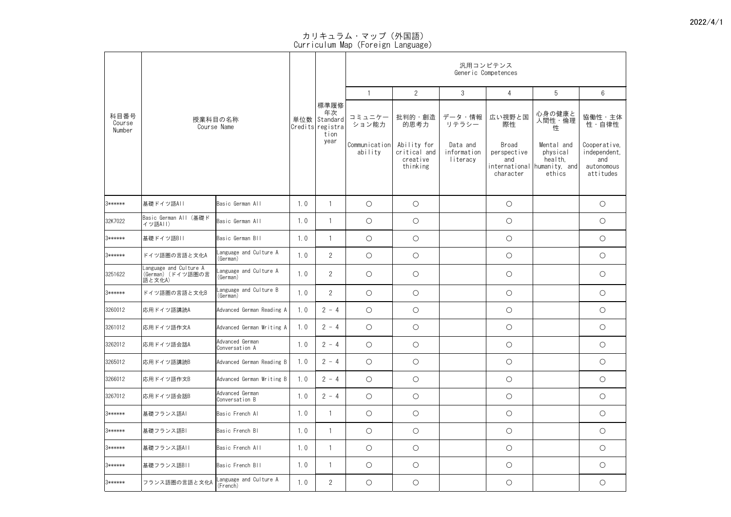|                          |                                                        |                                    |     |                                                                   |                                             |                                               | 汎用コンピテンス                                   | Generic Competences                  |                                                 |                                                 |
|--------------------------|--------------------------------------------------------|------------------------------------|-----|-------------------------------------------------------------------|---------------------------------------------|-----------------------------------------------|--------------------------------------------|--------------------------------------|-------------------------------------------------|-------------------------------------------------|
|                          |                                                        |                                    |     |                                                                   |                                             | $\overline{2}$                                | $\mathfrak{S}$                             | 4                                    | 5                                               | $6\phantom{.}6$                                 |
| 科目番号<br>Course<br>Number |                                                        | 授業科目の名称<br>Course Name             |     | │標準履修<br>│ 年次<br>単位数 Standard<br>Credits registra<br>tion<br>year | コミュニケー<br>ション能力<br>Communication<br>ability | 批判的・創造<br>的思考力<br>Ability for<br>critical and | データ・情報<br>リテラシー<br>Data and<br>information | 広い視野と国<br>際性<br>Broad<br>perspective | 心身の健康と<br>人間性・倫理<br>性<br>Mental and<br>physical | 協働性・主体<br>性・自律性<br>Cooperative,<br>independent, |
|                          |                                                        |                                    |     |                                                                   |                                             | creative<br>thinking                          | literacy                                   | and<br>international<br>character    | health,<br>humanity, and<br>ethics              | and<br>autonomous<br>attitudes                  |
| 3******                  | 基礎ドイツ語AII                                              | Basic German All                   | 1.0 |                                                                   | $\bigcirc$                                  | $\bigcirc$                                    |                                            | $\bigcirc$                           |                                                 | $\bigcirc$                                      |
| 32K7022                  | Basic German All (基礎ド<br>イツ語AII)                       | Basic German All                   | 1.0 |                                                                   | $\bigcirc$                                  | $\bigcirc$                                    |                                            | $\bigcirc$                           |                                                 | $\bigcirc$                                      |
| 3******                  | 基礎ドイツ語BⅡ                                               | Basic German BII                   | 1.0 |                                                                   | $\bigcirc$                                  | $\bigcirc$                                    |                                            | $\bigcirc$                           |                                                 | $\bigcirc$                                      |
| 3******                  | ドイツ語圏の言語と文化A                                           | Language and Culture A<br>(German) | 1.0 | $\overline{2}$                                                    | $\bigcirc$                                  | $\bigcirc$                                    |                                            | $\bigcirc$                           |                                                 | $\bigcirc$                                      |
| 3251622                  | Language and Culture A<br>(German) (ドイツ語圏の言<br> 語と文化A) | Language and Culture A<br>(German) | 1.0 | $\overline{2}$                                                    | $\bigcirc$                                  | $\bigcirc$                                    |                                            | $\bigcirc$                           |                                                 | $\bigcirc$                                      |
| 3******                  | ドイツ語圏の言語と文化B                                           | Language and Culture B<br>(German) | 1.0 | $\overline{2}$                                                    | $\bigcirc$                                  | $\bigcirc$                                    |                                            | $\bigcirc$                           |                                                 | $\bigcirc$                                      |
| 3260012                  | 応用ドイツ語講読A                                              | Advanced German Reading A          | 1.0 | $2 - 4$                                                           | $\bigcirc$                                  | $\bigcirc$                                    |                                            | $\bigcirc$                           |                                                 | $\bigcirc$                                      |
| 3261012                  | 応用ドイツ語作文A                                              | Advanced German Writing A          | 1.0 | $2 - 4$                                                           | $\bigcirc$                                  | $\bigcirc$                                    |                                            | $\bigcirc$                           |                                                 | $\bigcirc$                                      |
| 3262012                  | 応用ドイツ語会話A                                              | Advanced German<br>Conversation A  | 1.0 | $2 - 4$                                                           | $\bigcirc$                                  | $\bigcirc$                                    |                                            | $\bigcirc$                           |                                                 | $\bigcirc$                                      |
| 3265012                  | 応用ドイツ語講読B                                              | Advanced German Reading B          | 1.0 | $2 - 4$                                                           | $\bigcirc$                                  | $\bigcirc$                                    |                                            | $\bigcirc$                           |                                                 | $\bigcirc$                                      |
| 3266012                  | │応用ドイツ語作文B                                             | Advanced German Writing B          | 1.0 | $2 - 4$                                                           | $\bigcirc$                                  | $\bigcirc$                                    |                                            | $\bigcirc$                           |                                                 | $\bigcirc$                                      |
| 3267012                  | 応用ドイツ語会話B                                              | Advanced German<br>Conversation B  | 1.0 | $2 - 4$                                                           | $\bigcirc$                                  | $\bigcirc$                                    |                                            | $\bigcirc$                           |                                                 | $\bigcirc$                                      |
| 3******                  | 基礎フランス語AI                                              | Basic French Al                    | 1.0 |                                                                   | $\bigcirc$                                  | $\bigcirc$                                    |                                            | $\bigcirc$                           |                                                 | $\bigcirc$                                      |
| 3******                  | 基礎フランス語BI                                              | Basic French BI                    | 1.0 |                                                                   | $\bigcirc$                                  | $\bigcirc$                                    |                                            | $\bigcirc$                           |                                                 | $\bigcirc$                                      |
| 3******                  | 基礎フランス語AII                                             | Basic French All                   | 1.0 |                                                                   | $\bigcirc$                                  | $\bigcirc$                                    |                                            | $\bigcirc$                           |                                                 | $\bigcirc$                                      |
| 3******                  | 基礎フランス語BII                                             | Basic French BII                   | 1.0 |                                                                   | $\bigcirc$                                  | $\bigcirc$                                    |                                            | $\bigcirc$                           |                                                 | $\bigcirc$                                      |
| 3******                  | フランス語圏の言語と文化A                                          | Language and Culture A<br>(French) | 1.0 | $\overline{2}$                                                    | $\bigcirc$                                  | $\bigcirc$                                    |                                            | $\bigcirc$                           |                                                 | $\bigcirc$                                      |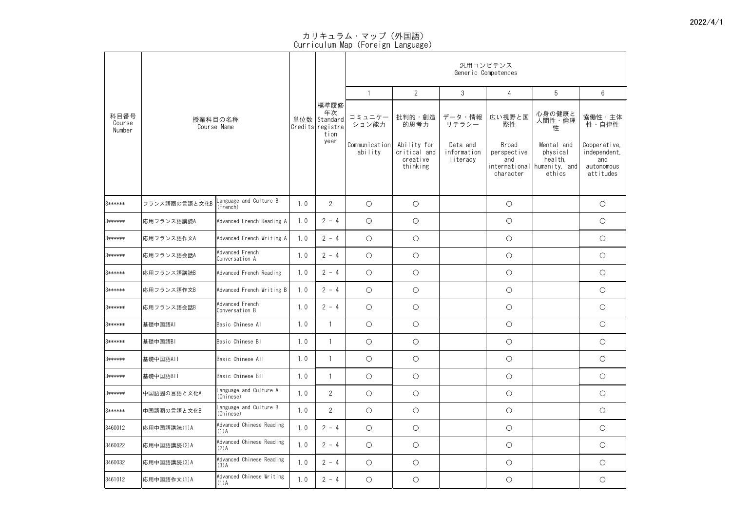| 科目番号<br>Course |               |                                     |     |                                                                |                                  |                                      | 汎用コンピテンス<br>Generic Competences |                                                  |                                                |                                                |
|----------------|---------------|-------------------------------------|-----|----------------------------------------------------------------|----------------------------------|--------------------------------------|---------------------------------|--------------------------------------------------|------------------------------------------------|------------------------------------------------|
|                |               |                                     |     |                                                                |                                  | $\overline{2}$                       | $\mathfrak{S}$                  | 4                                                | 5                                              | $6\phantom{.}6$                                |
| Number         |               | 授業科目の名称<br>Course Name              |     | 標準履修<br>年次<br>単位数 Standard<br>Credits registra<br>tion<br>year | コミュニケー<br>ション能力<br>Communication | 批判的・創造<br>的思考力<br>Ability for        | データ・情報<br>リテラシー<br>Data and     | 広い視野と国<br>際性<br>Broad                            | 心身の健康と<br>人間性・倫理<br>性<br>Mental and            | 協働性·主体<br><i>……</i><br>性・自律性<br>Cooperative,   |
|                |               |                                     |     |                                                                | ability                          | critical and<br>creative<br>thinking | information<br>literacy         | perspective<br>and<br>international<br>character | physical<br>health,<br>humanity, and<br>ethics | independent,<br>and<br>autonomous<br>attitudes |
| 3******        | フランス語圏の言語と文化B | Language and Culture B<br>(French)  | 1.0 | $\overline{2}$                                                 | $\bigcirc$                       | $\bigcirc$                           |                                 | $\bigcirc$                                       |                                                | $\bigcirc$                                     |
| 3******        | 応用フランス語講読A    | Advanced French Reading A           | 1.0 | $2 - 4$                                                        | $\bigcirc$                       | $\bigcirc$                           |                                 | $\bigcirc$                                       |                                                | $\bigcirc$                                     |
| 3******        | 応用フランス語作文A    | Advanced French Writing A           | 1.0 | $2 - 4$                                                        | $\bigcirc$                       | $\bigcirc$                           |                                 | $\bigcirc$                                       |                                                | $\bigcirc$                                     |
| 3******        | 応用フランス語会話A    | Advanced French<br>Conversation A   | 1.0 | $2 - 4$                                                        | $\bigcirc$                       | $\bigcirc$                           |                                 | $\bigcirc$                                       |                                                | $\bigcirc$                                     |
| 3******        | 応用フランス語講読B    | Advanced French Reading             | 1.0 | $2 - 4$                                                        | $\bigcirc$                       | $\bigcirc$                           |                                 | $\bigcirc$                                       |                                                | $\bigcirc$                                     |
| 3******        | 応用フランス語作文B    | Advanced French Writing B           | 1.0 | $2 - 4$                                                        | $\bigcirc$                       | $\bigcirc$                           |                                 | $\bigcirc$                                       |                                                | $\bigcirc$                                     |
| 3******        | 応用フランス語会話B    | Advanced French<br>Conversation B   | 1.0 | $2 - 4$                                                        | $\bigcirc$                       | $\bigcirc$                           |                                 | $\bigcirc$                                       |                                                | $\bigcirc$                                     |
| 3******        | 基礎中国語AI       | Basic Chinese Al                    | 1.0 |                                                                | $\bigcirc$                       | $\bigcirc$                           |                                 | $\bigcirc$                                       |                                                | $\bigcirc$                                     |
| 3******        | 基礎中国語BI       | Basic Chinese Bl                    | 1.0 |                                                                | $\bigcirc$                       | $\bigcirc$                           |                                 | $\bigcirc$                                       |                                                | $\bigcirc$                                     |
| 3******        | 基礎中国語AII      | Basic Chinese All                   | 1.0 |                                                                | $\bigcirc$                       | $\bigcirc$                           |                                 | $\bigcirc$                                       |                                                | $\bigcirc$                                     |
| 3******        | 基礎中国語BII      | Basic Chinese BII                   | 1.0 |                                                                | $\bigcirc$                       | $\bigcirc$                           |                                 | $\bigcirc$                                       |                                                | $\bigcirc$                                     |
| 3******        | 中国語圏の言語と文化A   | Language and Culture A<br>(Chinese) | 1.0 | $\overline{2}$                                                 | $\bigcirc$                       | $\bigcirc$                           |                                 | $\bigcirc$                                       |                                                | $\bigcirc$                                     |
| 3******        | 中国語圏の言語と文化B   | Language and Culture B<br>(Chinese) | 1.0 | $\overline{2}$                                                 | $\bigcirc$                       | $\bigcirc$                           |                                 | $\bigcirc$                                       |                                                | $\bigcirc$                                     |
| 3460012        | 応用中国語講読(1)A   | Advanced Chinese Reading<br>$(1)$ A | 1.0 | $2 - 4$                                                        | $\bigcirc$                       | $\bigcirc$                           |                                 | $\bigcirc$                                       |                                                | $\bigcirc$                                     |
| 3460022        | 応用中国語講読(2)A   | Advanced Chinese Reading<br>$(2)$ A | 1.0 | $2 - 4$                                                        | $\bigcirc$                       | $\bigcirc$                           |                                 | $\bigcirc$                                       |                                                | $\bigcirc$                                     |
| 3460032        | 応用中国語講読(3)A   | Advanced Chinese Reading<br>$(3)$ A | 1.0 | $2 - 4$                                                        | $\bigcirc$                       | $\bigcirc$                           |                                 | $\bigcirc$                                       |                                                | $\bigcirc$                                     |
| 3461012        | 応用中国語作文(1)A   | Advanced Chinese Writing<br>$(1)$ A | 1.0 | $2 - 4$                                                        | $\bigcirc$                       | $\bigcirc$                           |                                 | $\bigcirc$                                       |                                                | $\bigcirc$                                     |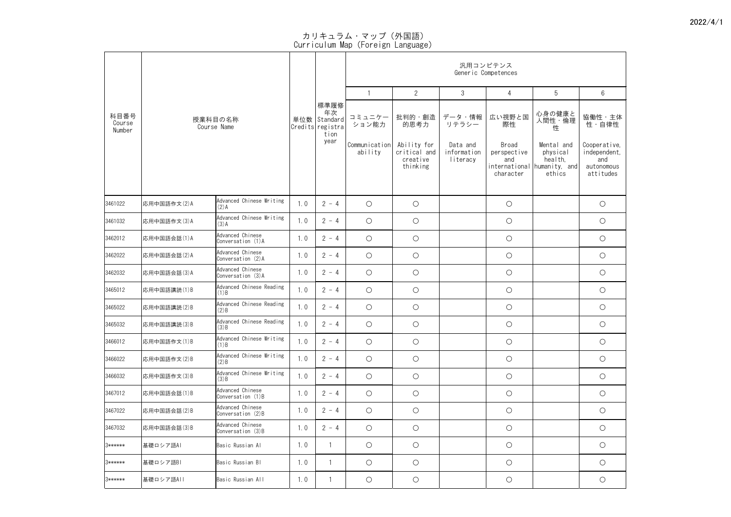|                          |             |                                          |     |                                                                |                                  |                                      |                             | 汎用コンピテンス<br>Generic Competences |                                                              |                                                |
|--------------------------|-------------|------------------------------------------|-----|----------------------------------------------------------------|----------------------------------|--------------------------------------|-----------------------------|---------------------------------|--------------------------------------------------------------|------------------------------------------------|
|                          |             |                                          |     |                                                                |                                  | $\overline{2}$                       | $\mathfrak{S}$              | 4                               | 5                                                            | 6                                              |
| 科目番号<br>Course<br>Number |             | 授業科目の名称<br>Course Name                   |     | 標準履修<br>年次<br>単位数 Standard<br>Credits registra<br>tion<br>year | コミュニケー<br>ション能力<br>Communication | 批判的・創造<br>的思考力<br>Ability for        | データ・情報<br>リテラシー<br>Data and | 広い視野と国<br>際性<br><b>Broad</b>    | 心身の健康と<br>人間性・倫理<br>性<br>Mental and                          | 協働性・主体<br>性・自律性<br>Cooperative,                |
|                          |             |                                          |     |                                                                | ability                          | critical and<br>creative<br>thinking | information<br>literacy     | perspective<br>and<br>character | physical<br>health,<br>international humanity, and<br>ethics | independent,<br>and<br>autonomous<br>attitudes |
| 3461022                  | 応用中国語作文(2)A | Advanced Chinese Writing<br>$(2)$ A      | 1.0 | $2 - 4$                                                        | $\bigcirc$                       | $\bigcirc$                           |                             | $\bigcirc$                      |                                                              | $\bigcirc$                                     |
| 3461032                  | 応用中国語作文(3)A | Advanced Chinese Writing<br>$(3)$ A      | 1.0 | $2 - 4$                                                        | $\bigcirc$                       | $\bigcirc$                           |                             | $\bigcirc$                      |                                                              | $\bigcirc$                                     |
| 3462012                  | 応用中国語会話(1)A | Advanced Chinese<br>Conversation (1)A    | 1.0 | $2 - 4$                                                        | $\bigcirc$                       | $\bigcirc$                           |                             | $\bigcirc$                      |                                                              | $\bigcirc$                                     |
| 3462022                  | 応用中国語会話(2)A | Advanced Chinese<br>Conversation (2)A    | 1.0 | $2 - 4$                                                        | $\bigcirc$                       | $\bigcirc$                           |                             | $\bigcirc$                      |                                                              | $\bigcirc$                                     |
| 3462032                  | 応用中国語会話(3)A | Advanced Chinese<br>Conversation (3)A    | 1.0 | $2 - 4$                                                        | $\bigcirc$                       | $\bigcirc$                           |                             | $\bigcirc$                      |                                                              | $\bigcirc$                                     |
| 3465012                  | 応用中国語講読(1)B | Advanced Chinese Reading<br>$(1)$ B      | 1.0 | $2 - 4$                                                        | $\bigcirc$                       | $\bigcirc$                           |                             | $\bigcirc$                      |                                                              | $\bigcirc$                                     |
| 3465022                  | 応用中国語講読(2)B | Advanced Chinese Reading<br>$(2)$ B      | 1.0 | $2 - 4$                                                        | $\bigcirc$                       | $\bigcirc$                           |                             | $\bigcirc$                      |                                                              | $\bigcirc$                                     |
| 3465032                  | 応用中国語講読(3)B | Advanced Chinese Reading<br>$(3)$ B      | 1.0 | $2 - 4$                                                        | $\bigcirc$                       | $\bigcirc$                           |                             | $\bigcirc$                      |                                                              | $\bigcirc$                                     |
| 3466012                  | 応用中国語作文(1)B | Advanced Chinese Writing<br>$(1)$ B      | 1.0 | $2 - 4$                                                        | $\bigcirc$                       | $\bigcirc$                           |                             | $\bigcirc$                      |                                                              | $\bigcirc$                                     |
| 3466022                  | 応用中国語作文(2)B | Advanced Chinese Writing<br>(2)B         | 1.0 | $2 - 4$                                                        | $\bigcirc$                       | $\bigcirc$                           |                             | $\bigcirc$                      |                                                              | $\bigcirc$                                     |
| 3466032                  | 応用中国語作文(3)B | Advanced Chinese Writing<br>(3)B         | 1.0 | $2 - 4$                                                        | $\bigcirc$                       | $\bigcirc$                           |                             | $\bigcirc$                      |                                                              | $\bigcirc$                                     |
| 3467012                  | 応用中国語会話(1)B | Advanced Chinese<br>Conversation (1)B    | 1.0 | $2 - 4$                                                        | $\bigcirc$                       | $\bigcirc$                           |                             | $\bigcirc$                      |                                                              | $\bigcirc$                                     |
| 3467022                  | 応用中国語会話(2)B | Advanced Chinese<br>Conversation $(2)$ B | 1.0 | $2 - 4$                                                        | $\bigcirc$                       | $\bigcirc$                           |                             | $\bigcirc$                      |                                                              | $\bigcirc$                                     |
| 3467032                  | 応用中国語会話(3)B | Advanced Chinese<br>Conversation (3)B    | 1.0 | $2 - 4$                                                        | $\bigcirc$                       | $\bigcirc$                           |                             | $\bigcirc$                      |                                                              | $\bigcirc$                                     |
| 3******                  | 基礎ロシア語AI    | Basic Russian Al                         | 1.0 |                                                                | $\bigcirc$                       | $\bigcirc$                           |                             | $\bigcirc$                      |                                                              | $\bigcirc$                                     |
| 3******                  | 基礎ロシア語BI    | Basic Russian Bl                         | 1.0 |                                                                | $\bigcirc$                       | $\bigcirc$                           |                             | $\bigcirc$                      |                                                              | $\bigcirc$                                     |
| 3******                  | │基礎ロシア語AII  | Basic Russian All                        | 1.0 |                                                                | $\bigcirc$                       | $\bigcirc$                           |                             | $\bigcirc$                      |                                                              | $\bigcirc$                                     |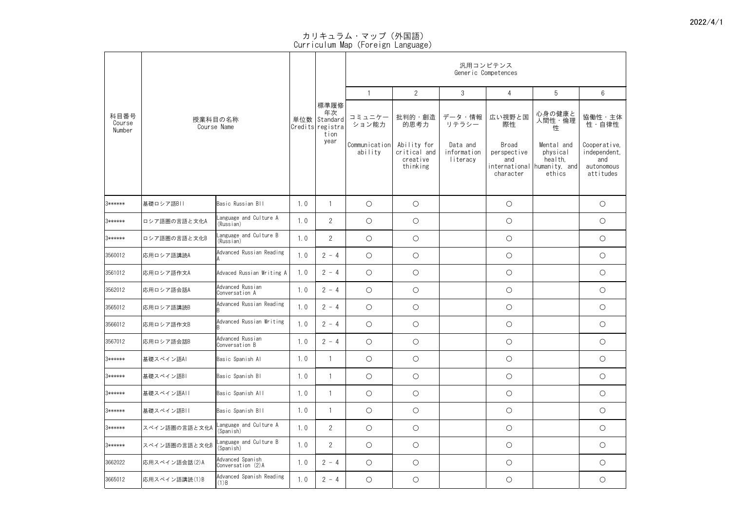|                          |               |                                       |     |                                                        |                          |                                                     | 汎用コンピテンス                            |                                                           |                                                              |                                                                |
|--------------------------|---------------|---------------------------------------|-----|--------------------------------------------------------|--------------------------|-----------------------------------------------------|-------------------------------------|-----------------------------------------------------------|--------------------------------------------------------------|----------------------------------------------------------------|
|                          |               |                                       |     |                                                        |                          |                                                     | Generic Competences                 |                                                           |                                                              |                                                                |
|                          |               |                                       |     |                                                        |                          | $\overline{2}$                                      | $\mathfrak{S}$                      | 4                                                         | 5                                                            | $6\phantom{.}6$                                                |
| 科目番号<br>Course<br>Number |               | 授業科目の名称<br>Course Name                |     | 標準履修<br>年次<br>単位数 Standard<br>Credits registra<br>tion | コミュニケー<br>ション能力          | 批判的・創造<br>的思考力                                      | データ・情報<br>リテラシー                     | 広い視野と国<br>際性                                              | 心身の健康と<br>人間性・倫理<br>性                                        | 協働性·主体<br><i>……</i><br>性・自律性                                   |
|                          |               |                                       |     | year                                                   | Communication<br>ability | Ability for<br>critical and<br>creative<br>thinking | Data and<br>information<br>literacy | Broad<br>perspective<br>and<br>international<br>character | Mental and<br>physical<br>health,<br>humanity, and<br>ethics | Cooperative,<br>independent,<br>and<br>autonomous<br>attitudes |
| 3******                  | 基礎ロシア語BII     | Basic Russian Bll                     | 1.0 |                                                        | $\bigcirc$               | $\bigcirc$                                          |                                     | $\bigcirc$                                                |                                                              | $\bigcirc$                                                     |
| 3******                  | ロシア語圏の言語と文化A  | Language and Culture A<br>(Russian)   | 1.0 | $\overline{2}$                                         | $\bigcirc$               | $\bigcirc$                                          |                                     | $\bigcirc$                                                |                                                              | $\bigcirc$                                                     |
| 3******                  | ロシア語圏の言語と文化B  | Language and Culture B<br>(Russian)   | 1.0 | $\overline{2}$                                         | $\bigcirc$               | $\bigcirc$                                          |                                     | $\bigcirc$                                                |                                                              | $\bigcirc$                                                     |
| 3560012                  | 応用ロシア語講読A     | Advanced Russian Reading<br>ΙA        | 1.0 | $2 - 4$                                                | $\bigcirc$               | $\bigcirc$                                          |                                     | $\bigcirc$                                                |                                                              | $\bigcirc$                                                     |
| 3561012                  | 応用ロシア語作文A     | Advaced Russian Writing A             | 1.0 | $2 - 4$                                                | $\bigcirc$               | $\bigcirc$                                          |                                     | $\bigcirc$                                                |                                                              | $\bigcirc$                                                     |
| 3562012                  | 応用ロシア語会話A     | Advanced Russian<br>Conversation A    | 1.0 | $2 - 4$                                                | $\bigcirc$               | $\bigcirc$                                          |                                     | $\bigcirc$                                                |                                                              | $\bigcirc$                                                     |
| 3565012                  | 応用ロシア語講読B     | Advanced Russian Reading              | 1.0 | $2 - 4$                                                | $\bigcirc$               | $\bigcirc$                                          |                                     | $\bigcirc$                                                |                                                              | $\bigcirc$                                                     |
| 3566012                  | 応用ロシア語作文B     | Advanced Russian Writing              | 1.0 | $2 - 4$                                                | $\bigcirc$               | $\bigcirc$                                          |                                     | $\bigcirc$                                                |                                                              | $\bigcirc$                                                     |
| 3567012                  | 応用ロシア語会話B     | Advanced Russian<br>Conversation B    | 1.0 | $2 - 4$                                                | $\bigcirc$               | $\bigcirc$                                          |                                     | $\bigcirc$                                                |                                                              | $\bigcirc$                                                     |
| 3******                  | 基礎スペイン語Al     | Basic Spanish Al                      | 1.0 |                                                        | $\bigcirc$               | $\bigcirc$                                          |                                     | $\bigcirc$                                                |                                                              | $\bigcirc$                                                     |
| 3******                  | 基礎スペイン語BI     | Basic Spanish Bl                      | 1.0 |                                                        | $\bigcirc$               | $\bigcirc$                                          |                                     | $\bigcirc$                                                |                                                              | $\bigcirc$                                                     |
| 3******                  | 基礎スペイン語AII    | Basic Spanish All                     | 1.0 |                                                        | $\bigcirc$               | $\bigcirc$                                          |                                     | $\bigcirc$                                                |                                                              | $\bigcirc$                                                     |
| 3******                  | 基礎スペイン語BII    | Basic Spanish BII                     | 1.0 |                                                        | $\bigcirc$               | $\bigcirc$                                          |                                     | $\bigcirc$                                                |                                                              | $\bigcirc$                                                     |
| 3******                  | スペイン語圏の言語と文化A | Language and Culture A<br>(Spanish)   | 1.0 | $\overline{2}$                                         | $\bigcirc$               | $\bigcirc$                                          |                                     | $\bigcirc$                                                |                                                              | $\bigcirc$                                                     |
| 3******                  | スペイン語圏の言語と文化B | Language and Culture B<br>(Spanish)   | 1.0 | $\overline{2}$                                         | $\bigcirc$               | $\bigcirc$                                          |                                     | $\bigcirc$                                                |                                                              | $\bigcirc$                                                     |
| 3662022                  | 応用スペイン語会話(2)A | Advanced Spanish<br>Conversation (2)A | 1.0 | $2 - 4$                                                | $\bigcirc$               | $\bigcirc$                                          |                                     | $\bigcirc$                                                |                                                              | $\bigcirc$                                                     |
| 3665012                  | 応用スペイン語講読(1)B | Advanced Spanish Reading<br>$(1)$ B   | 1.0 | $2 - 4$                                                | $\bigcirc$               | $\bigcirc$                                          |                                     | $\bigcirc$                                                |                                                              | $\bigcirc$                                                     |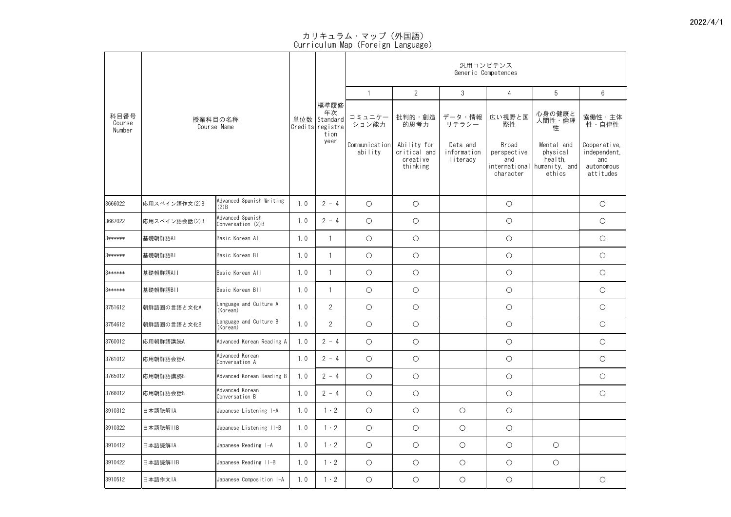| 科目番号<br>Course<br>Number |               |                                       |     |                                                                |                                             |                                                                       | 汎用コンピテンス<br>Generic Competences                        |                                                                           |                                                                                       |                                                                                   |
|--------------------------|---------------|---------------------------------------|-----|----------------------------------------------------------------|---------------------------------------------|-----------------------------------------------------------------------|--------------------------------------------------------|---------------------------------------------------------------------------|---------------------------------------------------------------------------------------|-----------------------------------------------------------------------------------|
|                          |               |                                       |     |                                                                |                                             | $\overline{2}$                                                        | $\mathfrak{S}$                                         | 4                                                                         | 5                                                                                     | $6\phantom{.}6$                                                                   |
|                          |               | 授業科目の名称<br>Course Name                |     | 標準履修<br>年次<br>単位数 Standard<br>Credits registra<br>tion<br>year | コミュニケー<br>ション能力<br>Communication<br>ability | 批判的・創造<br>的思考力<br>Ability for<br>critical and<br>creative<br>thinking | データ・情報<br>リテラシー<br>Data and<br>information<br>literacy | 広い視野と国<br>際性<br>Broad<br>perspective<br>and<br>international<br>character | 心身の健康と<br>人間性・倫理<br>性<br>Mental and<br>physical<br>health,<br>humanity, and<br>ethics | 協働性・主体<br>性・自律性<br>Cooperative,<br>independent,<br>and<br>autonomous<br>attitudes |
|                          |               |                                       |     |                                                                |                                             |                                                                       |                                                        |                                                                           |                                                                                       |                                                                                   |
| 3666022                  | 応用スペイン語作文(2)B | Advanced Spanish Writing<br>(2)B      | 1.0 | $2 - 4$                                                        | $\bigcirc$                                  | $\bigcirc$                                                            |                                                        | $\bigcirc$                                                                |                                                                                       | $\bigcirc$                                                                        |
| 3667022                  | 応用スペイン語会話(2)B | Advanced Spanish<br>Conversation (2)B | 1.0 | $2 - 4$                                                        | $\bigcirc$                                  | $\bigcirc$                                                            |                                                        | $\bigcirc$                                                                |                                                                                       | $\bigcirc$                                                                        |
| 3******                  | 基礎朝鮮語AI       | Basic Korean Al                       | 1.0 |                                                                | $\bigcirc$                                  | $\bigcirc$                                                            |                                                        | $\bigcirc$                                                                |                                                                                       | $\bigcirc$                                                                        |
| 3******                  | 基礎朝鮮語BI       | Basic Korean Bl                       | 1.0 |                                                                | $\bigcirc$                                  | $\bigcirc$                                                            |                                                        | $\bigcirc$                                                                |                                                                                       | $\bigcirc$                                                                        |
| 3******                  | 基礎朝鮮語AII      | Basic Korean All                      | 1.0 |                                                                | $\bigcirc$                                  | $\bigcirc$                                                            |                                                        | $\bigcirc$                                                                |                                                                                       | $\bigcirc$                                                                        |
| 3******                  | 基礎朝鮮語BII      | Basic Korean Bll                      | 1.0 |                                                                | $\bigcirc$                                  | $\bigcirc$                                                            |                                                        | $\bigcirc$                                                                |                                                                                       | $\bigcirc$                                                                        |
| 3751612                  | 朝鮮語圏の言語と文化A   | Language and Culture A<br>(Korean)    | 1.0 | $\overline{2}$                                                 | $\bigcirc$                                  | $\bigcirc$                                                            |                                                        | $\bigcirc$                                                                |                                                                                       | $\bigcirc$                                                                        |
| 3754612                  | 朝鮮語圏の言語と文化B   | Language and Culture B<br>(Korean)    | 1.0 | $\overline{2}$                                                 | $\bigcirc$                                  | $\bigcirc$                                                            |                                                        | $\bigcirc$                                                                |                                                                                       | $\bigcirc$                                                                        |
| 3760012                  | 応用朝鮮語講読A      | Advanced Korean Reading A             | 1.0 | $2 - 4$                                                        | $\bigcirc$                                  | $\bigcirc$                                                            |                                                        | $\bigcirc$                                                                |                                                                                       | $\bigcirc$                                                                        |
| 3761012                  | 応用朝鮮語会話A      | Advanced Korean<br>Conversation A     | 1.0 | $2 - 4$                                                        | $\bigcirc$                                  | $\bigcirc$                                                            |                                                        | $\bigcirc$                                                                |                                                                                       | $\bigcirc$                                                                        |
| 3765012                  | 応用朝鮮語講読B      | Advanced Korean Reading B             | 1.0 | $2 - 4$                                                        | $\bigcirc$                                  | $\bigcirc$                                                            |                                                        | $\bigcirc$                                                                |                                                                                       | $\bigcirc$                                                                        |
| 3766012                  | 応用朝鮮語会話B      | Advanced Korean<br>Conversation B     | 1.0 | $2 - 4$                                                        | $\bigcirc$                                  | $\bigcirc$                                                            |                                                        | $\bigcirc$                                                                |                                                                                       | $\bigcirc$                                                                        |
| 3910312                  | 日本語聴解IA       | Japanese Listening I-A                | 1.0 | $\cdot$ 2                                                      | $\bigcirc$                                  | $\bigcirc$                                                            | $\bigcirc$                                             | $\bigcirc$                                                                |                                                                                       |                                                                                   |
| 3910322                  | 日本語聴解  B      | Japanese Listening II-B               | 1.0 | $\cdot$ 2                                                      | $\bigcirc$                                  | $\bigcirc$                                                            | $\bigcirc$                                             | $\bigcirc$                                                                |                                                                                       |                                                                                   |
| 3910412                  | 日本語読解IA       | Japanese Reading I-A                  | 1.0 | $\cdot$ 2                                                      | $\bigcirc$                                  | $\bigcirc$                                                            | $\bigcirc$                                             | $\bigcirc$                                                                | $\bigcirc$                                                                            |                                                                                   |
| 3910422                  | 日本語読解IIB      | Japanese Reading II-B                 | 1.0 | $\cdot$ 2                                                      | $\bigcirc$                                  | $\bigcirc$                                                            | $\bigcirc$                                             | $\bigcirc$                                                                | $\bigcirc$                                                                            |                                                                                   |
| 3910512                  | 日本語作文IA       | Japanese Composition I-A              | 1.0 | $\cdot$ 2                                                      | $\bigcirc$                                  | $\bigcirc$                                                            | $\bigcirc$                                             | $\bigcirc$                                                                |                                                                                       | $\bigcirc$                                                                        |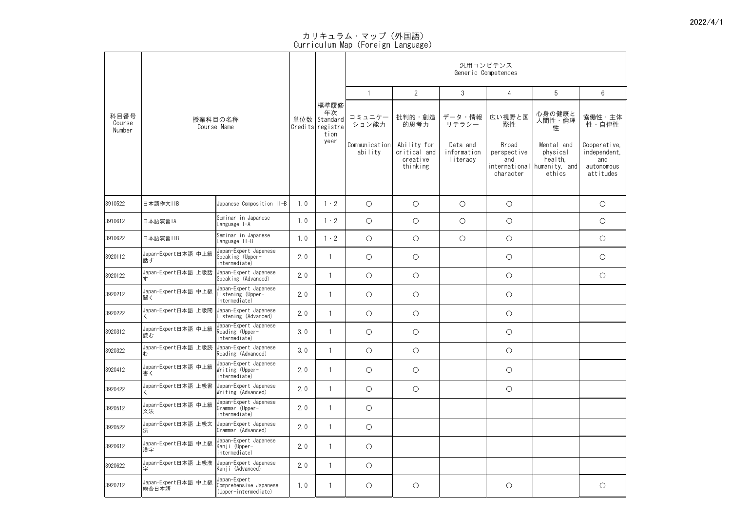|                          |                                                 |                                                                |                                                    |                          | 汎用コンピテンス<br>Generic Competences                     |                                     |                                          |                                                                            |                                                                |                 |  |  |  |
|--------------------------|-------------------------------------------------|----------------------------------------------------------------|----------------------------------------------------|--------------------------|-----------------------------------------------------|-------------------------------------|------------------------------------------|----------------------------------------------------------------------------|----------------------------------------------------------------|-----------------|--|--|--|
|                          |                                                 |                                                                |                                                    |                          |                                                     | $\overline{2}$                      | $\mathfrak{S}$                           | 4                                                                          | 5                                                              | $6\phantom{.}6$ |  |  |  |
| 科目番号<br>Course<br>Number | 授業科目の名称<br>Course Name                          | 単位数                                                            | 標準履修<br>年次<br>Standard<br>Credits registra<br>tion | コミュニケー<br>ション能力          | 批判的・創造<br>的思考力                                      | データ・情報<br>リテラシー                     | 広い視野と国<br>際性                             | 心身の健康と<br>人間性・倫理<br>性                                                      | 協働性・主体<br>性・自律性                                                |                 |  |  |  |
|                          |                                                 |                                                                | year                                               | Communication<br>ability | Ability for<br>critical and<br>creative<br>thinking | Data and<br>information<br>literacy | Broad<br>perspective<br>and<br>character | Mental and<br>physical<br>health,<br>international humanity, and<br>ethics | Cooperative,<br>independent,<br>and<br>autonomous<br>attitudes |                 |  |  |  |
| 3910522                  | 日本語作文IIB                                        | Japanese Composition II-B                                      | 1.0                                                | $1 \cdot 2$              | $\bigcirc$                                          | $\bigcirc$                          | $\bigcirc$                               | $\bigcirc$                                                                 |                                                                | $\bigcirc$      |  |  |  |
| 3910612                  | 日本語演習IA                                         | Seminar in Japanese<br>Language I-A                            | 1.0                                                | $1 \cdot 2$              | $\bigcirc$                                          | $\bigcirc$                          | $\bigcirc$                               | $\bigcirc$                                                                 |                                                                | $\bigcirc$      |  |  |  |
| 3910622                  | 日本語演習IIB                                        | Seminar in Japanese<br>Language II-B                           | 1.0                                                | $1 \cdot 2$              | $\bigcirc$                                          | $\bigcirc$                          | $\bigcirc$                               | $\bigcirc$                                                                 |                                                                | $\bigcirc$      |  |  |  |
| 3920112                  | Japan-Expert日本語 中上級<br> 話す                      | Japan-Expert Japanese<br>Speaking (Upper-<br>intermediate)     | 2.0                                                |                          | $\bigcirc$                                          | $\bigcirc$                          |                                          | $\bigcirc$                                                                 |                                                                | $\bigcirc$      |  |  |  |
| 3920122                  | Japan-Expert日本語 上級話  Japan-Expert Japanese      | Speaking (Advanced)                                            | 2.0                                                |                          | $\bigcirc$                                          | $\bigcirc$                          |                                          | $\bigcirc$                                                                 |                                                                | $\bigcirc$      |  |  |  |
| 3920212                  | Japan-Expert日本語 中上級<br>聞く                       | Japan-Expert Japanese<br>istening (Upper-<br>intermediate)     | 2.0                                                |                          | $\bigcirc$                                          | $\bigcirc$                          |                                          | $\bigcirc$                                                                 |                                                                |                 |  |  |  |
| 3920222                  | Japan-Expert日本語 上級聞                             | Japan-Expert Japanese<br>Listening (Advanced)                  | 2.0                                                |                          | $\bigcirc$                                          | $\bigcirc$                          |                                          | $\bigcirc$                                                                 |                                                                |                 |  |  |  |
| 3920312                  | Japan-Expert日本語 中上級<br>読む                       | Japan-Expert Japanese<br>Reading (Upper-<br>intermediate)      | 3.0                                                |                          | $\bigcirc$                                          | $\bigcirc$                          |                                          | $\bigcirc$                                                                 |                                                                |                 |  |  |  |
| 3920322                  | Japan-Expert日本語 上級読  Japan-Expert Japanese<br>む | Reading (Advanced)                                             | 3.0                                                |                          | $\bigcirc$                                          | $\bigcirc$                          |                                          | $\bigcirc$                                                                 |                                                                |                 |  |  |  |
| 3920412                  | Japan-Expert日本語 中上級<br>書く                       | Japan-Expert Japanese<br>Writing (Upper-<br>intermediate)      | 2.0                                                |                          | $\bigcirc$                                          | $\bigcirc$                          |                                          | $\bigcirc$                                                                 |                                                                |                 |  |  |  |
| 3920422                  | Japan-Expert日本語 上級書  Japan-Expert Japanese      | Writing (Advanced)                                             | 2.0                                                |                          | $\bigcirc$                                          | $\bigcirc$                          |                                          | $\bigcirc$                                                                 |                                                                |                 |  |  |  |
| 3920512                  | Japan-Expert日本語 中上級<br>文法                       | Japan-Expert Japanese<br>Grammar (Upper-<br>intermediate)      | 2.0                                                |                          | $\bigcirc$                                          |                                     |                                          |                                                                            |                                                                |                 |  |  |  |
| 3920522                  | Japan-Expert日本語 上級文                             | Japan-Expert Japanese<br>Grammar (Advanced)                    | 2.0                                                |                          | $\bigcirc$                                          |                                     |                                          |                                                                            |                                                                |                 |  |  |  |
| 3920612                  | Japan-Expert日本語 中上級<br>漢字                       | Japan-Expert Japanese<br>Kanji (Upper-<br>intermediate)        | 2.0                                                |                          | $\bigcirc$                                          |                                     |                                          |                                                                            |                                                                |                 |  |  |  |
| 3920622                  | Japan-Expert日本語 上級漢  Japan-Expert Japanese<br>子 | Kanji (Advanced)                                               | 2.0                                                |                          | $\bigcirc$                                          |                                     |                                          |                                                                            |                                                                |                 |  |  |  |
| 3920712                  | Japan-Expert日本語 中上級<br>総合日本語                    | Japan-Expert<br>Comprehensive Japanese<br>(Upper-intermediate) | 1.0                                                |                          | $\bigcirc$                                          | $\bigcirc$                          |                                          | $\bigcirc$                                                                 |                                                                | $\bigcirc$      |  |  |  |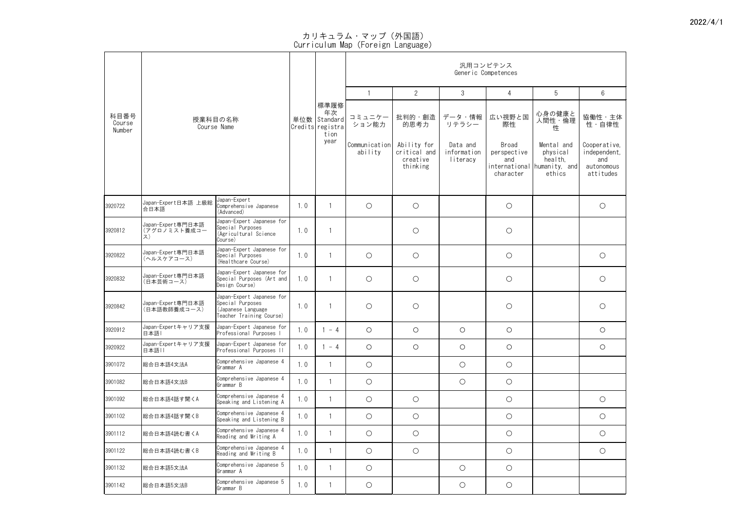|                          |                                         |                                                                                                  |     |                                                    | 汎用コンピテンス<br>Generic Competences |                                                     |                                     |                                          |                                                                            |                                                                |  |  |  |
|--------------------------|-----------------------------------------|--------------------------------------------------------------------------------------------------|-----|----------------------------------------------------|---------------------------------|-----------------------------------------------------|-------------------------------------|------------------------------------------|----------------------------------------------------------------------------|----------------------------------------------------------------|--|--|--|
|                          |                                         |                                                                                                  | 単位数 |                                                    |                                 | 2                                                   | $\mathfrak{S}$                      | 4                                        | 5                                                                          | $6\phantom{.}6$                                                |  |  |  |
| 科目番号<br>Course<br>Number |                                         | 授業科目の名称<br>Course Name                                                                           |     | 標準履修<br>年次<br>Standard<br>Credits registra<br>tion | コミュニケー<br>ション能力                 | 批判的・創造<br>的思考力                                      | データ・情報<br>リテラシー                     | 広い視野と国<br>際性                             | 心身の健康と<br>人間性・倫理<br>性                                                      | 協働性・主体<br>性・自律性                                                |  |  |  |
|                          |                                         |                                                                                                  |     | year                                               | Communication<br>ability        | Ability for<br>critical and<br>creative<br>thinking | Data and<br>information<br>literacy | Broad<br>perspective<br>and<br>character | Mental and<br>physical<br>health,<br>international humanity, and<br>ethics | Cooperative,<br>independent,<br>and<br>autonomous<br>attitudes |  |  |  |
| 3920722                  | Japan-Expert日本語 上級総<br>合日本語             | Japan-Expert<br>Comprehensive Japanese<br>(Advanced)                                             | 1.0 |                                                    | $\bigcirc$                      | $\bigcirc$                                          |                                     | $\bigcirc$                               |                                                                            | $\bigcirc$                                                     |  |  |  |
| 3920812                  | Japan-Expert専門日本語<br>(アグロノミスト養成コー<br>ス) | Japan-Expert Japanese for<br>Special Purposes<br>(Agricultural Science<br>Course)                | 1.0 |                                                    |                                 | $\bigcirc$                                          |                                     | $\bigcirc$                               |                                                                            |                                                                |  |  |  |
| 3920822                  | Japan-Expert専門日本語<br>(ヘルスケアコース)         | Japan-Expert Japanese for<br>Special Purposes<br>(Healthcare Course)                             | 1.0 |                                                    | $\bigcirc$                      | $\bigcirc$                                          |                                     | $\bigcirc$                               |                                                                            | $\bigcirc$                                                     |  |  |  |
| 3920832                  | Japan-Expert専門日本語<br>(日本芸術コース)          | Japan-Expert Japanese for<br>Special Purposes (Art and<br>Design Course)                         | 1.0 |                                                    | $\bigcirc$                      | $\bigcirc$                                          |                                     | $\bigcirc$                               |                                                                            | $\bigcirc$                                                     |  |  |  |
| 3920842                  | Japan-Expert専門日本語<br>(日本語教師養成コース)       | Japan-Expert Japanese for<br>Special Purposes<br>(Japanese Language)<br>Teacher Training Course) | 1.0 |                                                    | $\bigcirc$                      | $\bigcirc$                                          |                                     | $\bigcirc$                               |                                                                            | $\bigcirc$                                                     |  |  |  |
| 3920912                  | Japan-Expertキャリア支援<br> 日本語              | Japan-Expert Japanese for<br>Professional Purposes I                                             | 1.0 | $-4$                                               | $\bigcirc$                      | $\bigcirc$                                          | $\bigcirc$                          | $\bigcirc$                               |                                                                            | $\bigcirc$                                                     |  |  |  |
| 3920922                  | Japan-Expertキャリア支援<br>日本語II             | Japan-Expert Japanese for<br>Professional Purposes II                                            | 1.0 | $-4$                                               | $\bigcirc$                      | $\bigcirc$                                          | $\bigcirc$                          | $\bigcirc$                               |                                                                            | $\bigcirc$                                                     |  |  |  |
| 3901072                  | 総合日本語4文法A                               | Comprehensive Japanese 4<br>Grammar A                                                            | 1.0 |                                                    | $\bigcirc$                      |                                                     | $\bigcirc$                          | $\bigcirc$                               |                                                                            |                                                                |  |  |  |
| 3901082                  | 総合日本語4文法B                               | Comprehensive Japanese 4<br>Grammar B                                                            | 1.0 |                                                    | $\bigcirc$                      |                                                     | $\bigcirc$                          | $\bigcirc$                               |                                                                            |                                                                |  |  |  |
| 3901092                  | 総合日本語4話す聞くA                             | Comprehensive Japanese 4<br>Speaking and Listening A                                             | 1.0 |                                                    | $\bigcirc$                      | $\bigcirc$                                          |                                     | $\bigcirc$                               |                                                                            | $\bigcirc$                                                     |  |  |  |
| 3901102                  | 総合日本語4話す聞くB                             | Comprehensive Japanese 4<br>Speaking and Listening B                                             | 1.0 |                                                    | $\bigcirc$                      | $\bigcirc$                                          |                                     | $\bigcirc$                               |                                                                            | $\bigcirc$                                                     |  |  |  |
| 3901112                  | 総合日本語4読む書くA                             | Comprehensive Japanese 4<br>Reading and Writing A                                                | 1.0 |                                                    | $\bigcirc$                      | $\bigcirc$                                          |                                     | $\bigcirc$                               |                                                                            | $\bigcirc$                                                     |  |  |  |
| 3901122                  | 総合日本語4読む書くB                             | Comprehensive Japanese 4<br>Reading and Writing B                                                | 1.0 |                                                    | $\bigcirc$                      | $\bigcirc$                                          |                                     | $\bigcirc$                               |                                                                            | $\bigcirc$                                                     |  |  |  |
| 3901132                  | 総合日本語5文法A                               | Comprehensive Japanese 5<br>Grammar A                                                            | 1.0 | $\blacksquare$                                     | $\bigcirc$                      |                                                     | $\bigcirc$                          | $\bigcirc$                               |                                                                            |                                                                |  |  |  |
| 3901142                  | 総合日本語5文法B                               | Comprehensive Japanese 5<br>Grammar B                                                            | 1.0 |                                                    | $\bigcirc$                      |                                                     | $\bigcirc$                          | $\bigcirc$                               |                                                                            |                                                                |  |  |  |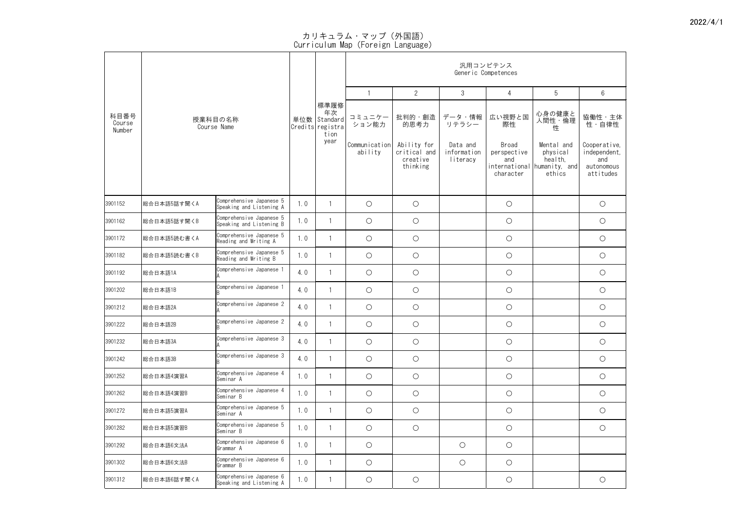|                          |             |                                                      |     |                                                           | 汎用コンピテンス<br>Generic Competences |                                                     |                                     |                                          |                                                                            |                                                                |  |  |  |
|--------------------------|-------------|------------------------------------------------------|-----|-----------------------------------------------------------|---------------------------------|-----------------------------------------------------|-------------------------------------|------------------------------------------|----------------------------------------------------------------------------|----------------------------------------------------------------|--|--|--|
|                          |             |                                                      |     |                                                           |                                 | $\overline{2}$                                      | $\mathfrak{S}$                      | 4                                        | 5                                                                          | $6\phantom{.}6$                                                |  |  |  |
| 科目番号<br>Course<br>Number |             | 授業科目の名称<br>Course Name                               |     | 標準履修<br>年次<br>単位数<br>Standard<br>Credits registra<br>tion | コミュニケー<br>ション能力                 | 批判的・創造<br>的思考力                                      | データ・情報<br>リテラシー                     | 広い視野と国<br>際性                             | 心身の健康と<br>人間性・倫理<br>性                                                      | 協働性・主体<br>性・自律性                                                |  |  |  |
|                          |             |                                                      |     | year                                                      | Communication<br>ability        | Ability for<br>critical and<br>creative<br>thinking | Data and<br>information<br>literacy | Broad<br>perspective<br>and<br>character | Mental and<br>physical<br>health,<br>international humanity, and<br>ethics | Cooperative,<br>independent,<br>and<br>autonomous<br>attitudes |  |  |  |
| 3901152                  | 総合日本語5話す聞くA | Comprehensive Japanese 5<br>Speaking and Listening A | 1.0 |                                                           | $\bigcirc$                      | $\bigcirc$                                          |                                     | $\bigcirc$                               |                                                                            | $\bigcirc$                                                     |  |  |  |
| 3901162                  | 総合日本語5話す聞くB | Comprehensive Japanese 5<br>Speaking and Listening B | 1.0 |                                                           | $\bigcirc$                      | $\bigcirc$                                          |                                     | $\bigcirc$                               |                                                                            | $\bigcirc$                                                     |  |  |  |
| 3901172                  | 総合日本語5読む書くA | Comprehensive Japanese 5<br>Reading and Writing A    | 1.0 |                                                           | $\bigcirc$                      | $\bigcirc$                                          |                                     | $\bigcirc$                               |                                                                            | $\bigcirc$                                                     |  |  |  |
| 3901182                  | 総合日本語5読む書くB | Comprehensive Japanese 5<br>Reading and Writing B    | 1.0 |                                                           | $\bigcirc$                      | $\bigcirc$                                          |                                     | $\bigcirc$                               |                                                                            | $\bigcirc$                                                     |  |  |  |
| 3901192                  | 総合日本語1A     | Comprehensive Japanese 1                             | 4.0 |                                                           | $\bigcirc$                      | $\bigcirc$                                          |                                     | $\bigcirc$                               |                                                                            | $\bigcirc$                                                     |  |  |  |
| 3901202                  | 総合日本語1B     | Comprehensive Japanese 1                             | 4.0 |                                                           | $\bigcirc$                      | $\bigcirc$                                          |                                     | $\bigcirc$                               |                                                                            | $\bigcirc$                                                     |  |  |  |
| 3901212                  | 総合日本語2A     | Comprehensive Japanese 2                             | 4.0 |                                                           | $\bigcirc$                      | $\bigcirc$                                          |                                     | $\bigcirc$                               |                                                                            | $\bigcirc$                                                     |  |  |  |
| 3901222                  | 総合日本語2B     | Comprehensive Japanese 2                             | 4.0 |                                                           | $\bigcirc$                      | $\bigcirc$                                          |                                     | $\bigcirc$                               |                                                                            | $\bigcirc$                                                     |  |  |  |
| 3901232                  | 総合日本語3A     | Comprehensive Japanese 3                             | 4.0 |                                                           | $\bigcirc$                      | $\bigcirc$                                          |                                     | $\bigcirc$                               |                                                                            | $\bigcirc$                                                     |  |  |  |
| 3901242                  | 総合日本語3B     | Comprehensive Japanese 3                             | 4.0 |                                                           | $\bigcirc$                      | $\bigcirc$                                          |                                     | $\bigcirc$                               |                                                                            | $\bigcirc$                                                     |  |  |  |
| 3901252                  | 総合日本語4演習A   | Comprehensive Japanese 4<br>Seminar A                | 1.0 |                                                           | $\bigcirc$                      | $\bigcirc$                                          |                                     | $\bigcirc$                               |                                                                            | $\bigcirc$                                                     |  |  |  |
| 3901262                  | 総合日本語4演習B   | Comprehensive Japanese 4<br>Seminar B                | 1.0 |                                                           | $\bigcirc$                      | $\bigcirc$                                          |                                     | $\bigcirc$                               |                                                                            | $\bigcirc$                                                     |  |  |  |
| 3901272                  | 総合日本語5演習A   | Comprehensive Japanese 5<br>Seminar A                | 1.0 |                                                           | $\bigcirc$                      | $\bigcirc$                                          |                                     | $\bigcirc$                               |                                                                            | $\bigcirc$                                                     |  |  |  |
| 3901282                  | 総合日本語5演習B   | Comprehensive Japanese 5<br>Seminar B                | 1.0 |                                                           | $\bigcirc$                      | $\bigcirc$                                          |                                     | $\bigcirc$                               |                                                                            | $\bigcirc$                                                     |  |  |  |
| 3901292                  | 総合日本語6文法A   | Comprehensive Japanese 6<br>Grammar A                | 1.0 |                                                           | $\bigcirc$                      |                                                     | $\bigcirc$                          | $\bigcirc$                               |                                                                            |                                                                |  |  |  |
| 3901302                  | 総合日本語6文法B   | Comprehensive Japanese 6<br>Grammar B                | 1.0 |                                                           | $\bigcirc$                      |                                                     | $\bigcirc$                          | $\bigcirc$                               |                                                                            |                                                                |  |  |  |
| 3901312                  | 総合日本語6話す聞くA | Comprehensive Japanese 6<br>Speaking and Listening A | 1.0 |                                                           | $\bigcirc$                      | $\bigcirc$                                          |                                     | $\bigcirc$                               |                                                                            | $\bigcirc$                                                     |  |  |  |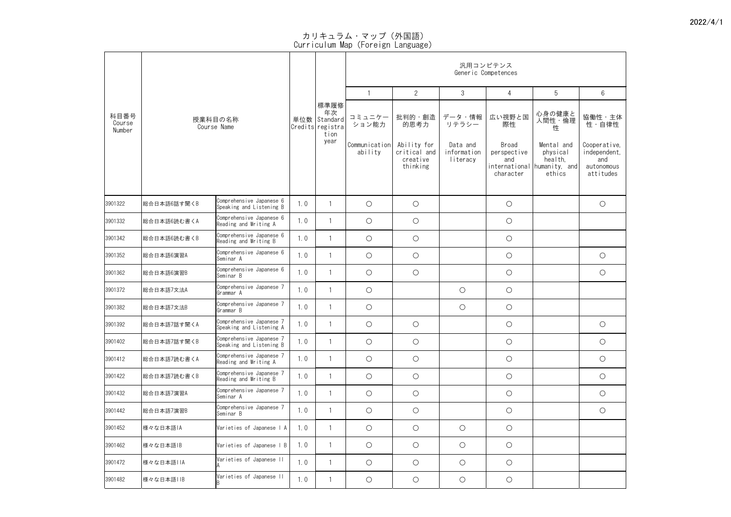|                          |                           |                                                      |     |      | 汎用コンピテンス<br>Generic Competences                                 |                                                     |                                     |                                          |                                                                            |                                                                |  |  |  |
|--------------------------|---------------------------|------------------------------------------------------|-----|------|-----------------------------------------------------------------|-----------------------------------------------------|-------------------------------------|------------------------------------------|----------------------------------------------------------------------------|----------------------------------------------------------------|--|--|--|
|                          |                           |                                                      |     |      |                                                                 | $\overline{2}$                                      | $\mathfrak{S}$                      | 4                                        | 5                                                                          | $6\phantom{.}6$                                                |  |  |  |
| 科目番号<br>Course<br>Number |                           | 授業科目の名称<br>Course Name                               |     |      | 標準履修<br>コミュニケー<br>単位数   Standard  <br>ション能力<br>Credits registra | 批判的・創造<br>的思考力                                      | データ・情報<br>リテラシー                     | 広い視野と国<br>際性                             | 心身の健康と<br>人間性・倫理<br>性                                                      | 協働性・主体<br>性・自律性                                                |  |  |  |
|                          |                           |                                                      |     | year | Communication<br>ability                                        | Ability for<br>critical and<br>creative<br>thinking | Data and<br>information<br>literacy | Broad<br>perspective<br>and<br>character | Mental and<br>physical<br>health,<br>international humanity, and<br>ethics | Cooperative,<br>independent,<br>and<br>autonomous<br>attitudes |  |  |  |
| 3901322                  | 総合日本語6話す聞くB               | Comprehensive Japanese 6<br>Speaking and Listening B | 1.0 |      | $\bigcirc$                                                      | $\bigcirc$                                          |                                     | $\bigcirc$                               |                                                                            | $\bigcirc$                                                     |  |  |  |
| 3901332                  | 総合日本語6読む書くA               | Comprehensive Japanese 6<br>Reading and Writing A    | 1.0 |      | $\bigcirc$                                                      | $\bigcirc$                                          |                                     | $\bigcirc$                               |                                                                            |                                                                |  |  |  |
| 3901342                  | <sup>28</sup> 絵合日本語6読む書くB | Comprehensive Japanese 6<br>Reading and Writing B    | 1.0 |      | $\bigcirc$                                                      | $\bigcirc$                                          |                                     | $\bigcirc$                               |                                                                            |                                                                |  |  |  |
| 3901352                  | 総合日本語6演習A                 | Comprehensive Japanese 6<br>Seminar A                | 1.0 |      | $\bigcirc$                                                      | $\bigcirc$                                          |                                     | $\bigcirc$                               |                                                                            | $\bigcirc$                                                     |  |  |  |
| 3901362                  | 総合日本語6演習B                 | Comprehensive Japanese 6<br> Seminar B               | 1.0 |      | $\bigcirc$                                                      | $\bigcirc$                                          |                                     | $\bigcirc$                               |                                                                            | $\bigcirc$                                                     |  |  |  |
| 3901372                  | 総合日本語7文法A                 | Comprehensive Japanese 7<br> Grammar A               | 1.0 |      | $\bigcirc$                                                      |                                                     | $\bigcirc$                          | $\bigcirc$                               |                                                                            |                                                                |  |  |  |
| 3901382                  | 総合日本語7文法B                 | Comprehensive Japanese 7<br>Grammar B                | 1.0 |      | $\bigcirc$                                                      |                                                     | $\bigcirc$                          | $\bigcirc$                               |                                                                            |                                                                |  |  |  |
| 3901392                  | <sup>28</sup> 総合日本語7話す聞くA | Comprehensive Japanese 7<br>Speaking and Listening A | 1.0 |      | $\bigcirc$                                                      | $\bigcirc$                                          |                                     | $\bigcirc$                               |                                                                            | $\bigcirc$                                                     |  |  |  |
| 3901402                  | 総合日本語7話す聞くB               | Comprehensive Japanese 7<br>Speaking and Listening B | 1.0 |      | $\bigcirc$                                                      | $\bigcirc$                                          |                                     | $\bigcirc$                               |                                                                            | $\bigcirc$                                                     |  |  |  |
| 3901412                  | <sup>28</sup> 絵合日本語7読む書くA | Comprehensive Japanese 7<br>Reading and Writing A    | 1.0 |      | $\bigcirc$                                                      | $\bigcirc$                                          |                                     | $\bigcirc$                               |                                                                            | $\bigcirc$                                                     |  |  |  |
| 3901422                  | <sup>28</sup> 絵合日本語7読む書くB | Comprehensive Japanese 7<br>Reading and Writing B    | 1.0 |      | $\bigcirc$                                                      | $\bigcirc$                                          |                                     | $\bigcirc$                               |                                                                            | $\bigcirc$                                                     |  |  |  |
| 3901432                  | 総合日本語7演習A                 | Comprehensive Japanese 7<br> Seminar A               | 1.0 |      | $\bigcirc$                                                      | $\bigcirc$                                          |                                     | $\bigcirc$                               |                                                                            | $\bigcirc$                                                     |  |  |  |
| 3901442                  | 総合日本語7演習B                 | Comprehensive Japanese 7<br> Seminar B               | 1.0 |      | $\bigcirc$                                                      | $\bigcirc$                                          |                                     | $\bigcirc$                               |                                                                            | $\bigcirc$                                                     |  |  |  |
| 3901452                  | 棒々な日本語IA                  | Varieties of Japanese   A                            | 1.0 |      | $\bigcirc$                                                      | $\bigcirc$                                          | $\bigcirc$                          | $\bigcirc$                               |                                                                            |                                                                |  |  |  |
| 3901462                  | 様々な日本語IB                  | Varieties of Japanese   B                            | 1.0 |      | $\bigcirc$                                                      | $\bigcirc$                                          | $\bigcirc$                          | $\bigcirc$                               |                                                                            |                                                                |  |  |  |
| 3901472                  | 体々な日本語IIA                 | Varieties of Japanese II                             | 1.0 |      | $\bigcirc$                                                      | $\bigcirc$                                          | $\bigcirc$                          | $\bigcirc$                               |                                                                            |                                                                |  |  |  |
| 3901482                  | 様々な日本語  B                 | Varieties of Japanese II                             | 1.0 |      | $\bigcirc$                                                      | $\bigcirc$                                          | $\bigcirc$                          | $\bigcirc$                               |                                                                            |                                                                |  |  |  |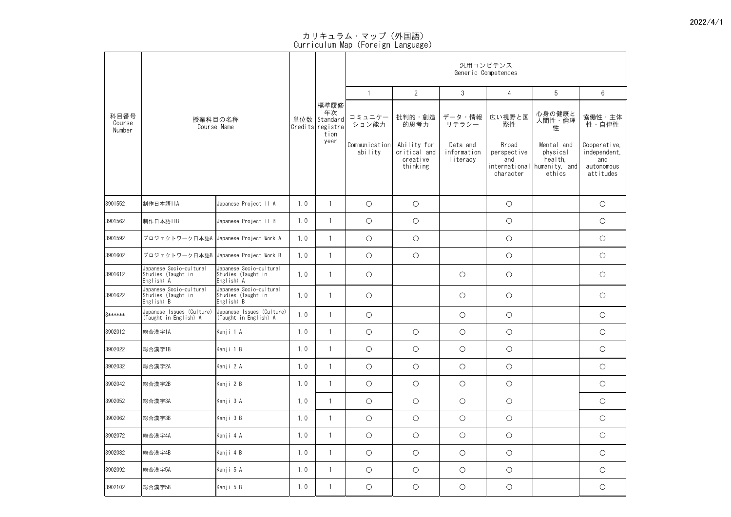|                          |                                                             |                                                             |                                                            |                          |                                                     |                                     |                                          | 汎用コンピテンス<br>Generic Competences                                            |                                                                |                 |
|--------------------------|-------------------------------------------------------------|-------------------------------------------------------------|------------------------------------------------------------|--------------------------|-----------------------------------------------------|-------------------------------------|------------------------------------------|----------------------------------------------------------------------------|----------------------------------------------------------------|-----------------|
|                          |                                                             |                                                             |                                                            |                          |                                                     | $\overline{2}$                      | $\mathfrak{Z}$                           | 4                                                                          | 5                                                              | $6\phantom{1}6$ |
| 科目番号<br>Course<br>Number | 授業科目の名称<br>Course Name                                      |                                                             | 標準履修<br>年次<br>単位数   Standard  <br>Credits registra<br>tion | コミュニケー<br>ション能力          | 批判的・創造<br>的思考力                                      | データ・情報<br>リテラシー                     | 広い視野と国<br>際性                             | 心身の健康と<br>人間性・倫理<br>性                                                      | 協働性・主体<br>性・自律性                                                |                 |
|                          |                                                             |                                                             | year                                                       | Communication<br>ability | Ability for<br>critical and<br>creative<br>thinking | Data and<br>information<br>literacy | Broad<br>perspective<br>and<br>character | Mental and<br>physical<br>health,<br>international humanity, and<br>ethics | Cooperative,<br>independent,<br>and<br>autonomous<br>attitudes |                 |
| 3901552                  | 制作日本語IIA                                                    | Japanese Project II A                                       | 1.0                                                        |                          | $\bigcirc$                                          | $\bigcirc$                          |                                          | $\bigcirc$                                                                 |                                                                | $\bigcirc$      |
| 3901562                  | 制作日本語IIB                                                    | Japanese Project II B                                       | 1.0                                                        |                          | $\bigcirc$                                          | $\bigcirc$                          |                                          | $\bigcirc$                                                                 |                                                                | $\bigcirc$      |
| 3901592                  | プロジェクトワーク日本語A  Japanese Project Work A                      |                                                             | 1.0                                                        |                          | $\bigcirc$                                          | $\bigcirc$                          |                                          | $\bigcirc$                                                                 |                                                                | $\bigcirc$      |
| 3901602                  | プロジェクトワーク日本語B  Japanese Project Work B                      |                                                             | 1.0                                                        |                          | $\bigcirc$                                          | $\bigcirc$                          |                                          | $\bigcirc$                                                                 |                                                                | $\bigcirc$      |
| 3901612                  | Japanese Socio-cultural<br>Studies (Taught in<br>English) A | Japanese Socio-cultural<br>Studies (Taught in<br>English) A | 1.0                                                        |                          | $\bigcirc$                                          |                                     | $\bigcirc$                               | $\bigcirc$                                                                 |                                                                | $\bigcirc$      |
| 3901622                  | Japanese Socio-cultural<br>Studies (Taught in<br>English) B | Japanese Socio-cultural<br>Studies (Taught in<br>English) B | 1.0                                                        |                          | $\bigcirc$                                          |                                     | $\bigcirc$                               | $\bigcirc$                                                                 |                                                                | $\bigcirc$      |
| 3******                  | Japanese Issues (Culture)<br>(Taught in English) A          | Japanese Issues (Culture)<br>(Taught in English) A          | 1.0                                                        |                          | $\bigcirc$                                          |                                     | $\bigcirc$                               | $\bigcirc$                                                                 |                                                                | $\bigcirc$      |
| 3902012                  | 総合漢字1A                                                      | Kanji 1 A                                                   | 1.0                                                        |                          | $\bigcirc$                                          | $\bigcirc$                          | $\bigcirc$                               | $\bigcirc$                                                                 |                                                                | $\bigcirc$      |
| 3902022                  | 総合漢字1B                                                      | Kanji 1 B                                                   | 1.0                                                        |                          | $\bigcirc$                                          | $\bigcirc$                          | $\bigcirc$                               | $\bigcirc$                                                                 |                                                                | $\bigcirc$      |
| 3902032                  | 総合漢字2A                                                      | Kanji 2 A                                                   | 1.0                                                        |                          | $\bigcirc$                                          | $\bigcirc$                          | $\bigcirc$                               | $\bigcirc$                                                                 |                                                                | $\bigcirc$      |
| 3902042                  | 総合漢字2B                                                      | Kanji 2 B                                                   | 1.0                                                        |                          | $\bigcirc$                                          | $\bigcirc$                          | $\bigcirc$                               | $\bigcirc$                                                                 |                                                                | $\bigcirc$      |
| 3902052                  | 総合漢字3A                                                      | Kanji 3 A                                                   | 1.0                                                        |                          | $\bigcirc$                                          | $\bigcirc$                          | $\bigcirc$                               | $\bigcirc$                                                                 |                                                                | $\bigcirc$      |
| 3902062                  | 総合漢字3B                                                      | Kanji 3 B                                                   | 1.0                                                        |                          | $\bigcirc$                                          | $\bigcirc$                          | $\bigcirc$                               | $\bigcirc$                                                                 |                                                                | $\bigcirc$      |
| 3902072                  | 総合漢字4A                                                      | Kanji 4 A                                                   | 1.0                                                        |                          | $\bigcirc$                                          | $\bigcirc$                          | $\bigcirc$                               | $\bigcirc$                                                                 |                                                                | $\bigcirc$      |
| 3902082                  | 総合漢字4B                                                      | Kanji 4 B                                                   | 1.0                                                        |                          | $\bigcirc$                                          | $\bigcirc$                          | $\bigcirc$                               | $\bigcirc$                                                                 |                                                                | $\bigcirc$      |
| 3902092                  | 総合漢字5A                                                      | Kanji 5 A                                                   | 1.0                                                        |                          | $\bigcirc$                                          | $\bigcirc$                          | $\bigcirc$                               | $\bigcirc$                                                                 |                                                                | $\bigcirc$      |
| 3902102                  | 総合漢字5B                                                      | Kanji 5 B                                                   | 1.0                                                        |                          | $\bigcirc$                                          | $\bigcirc$                          | $\bigcirc$                               | $\bigcirc$                                                                 |                                                                | $\bigcirc$      |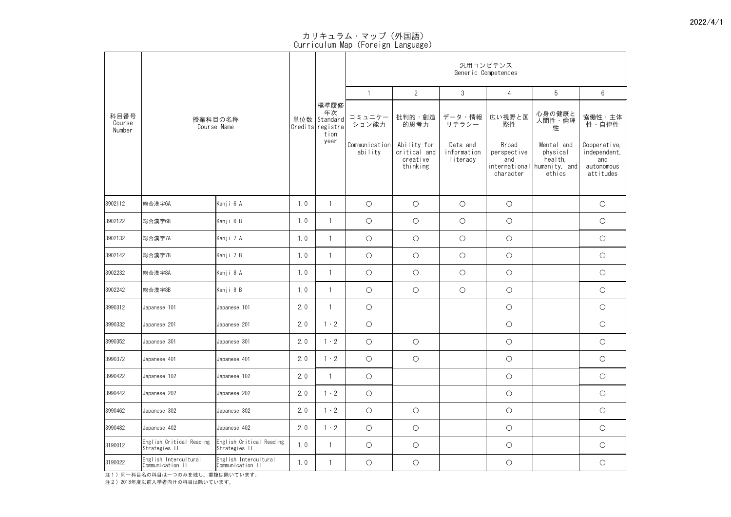|                          |                                           |                                           |     |                                                                    | 汎用コンピテンス<br>Generic Competences      |                               |                                 |                                                              |                                                |                                 |  |  |  |
|--------------------------|-------------------------------------------|-------------------------------------------|-----|--------------------------------------------------------------------|--------------------------------------|-------------------------------|---------------------------------|--------------------------------------------------------------|------------------------------------------------|---------------------------------|--|--|--|
|                          |                                           |                                           |     |                                                                    |                                      | $\overline{2}$                | $\mathfrak{S}$                  | 4                                                            | 5                                              | $6\phantom{.}6$                 |  |  |  |
| 科目番号<br>Course<br>Number | 授業科目の名称<br>Course Name                    |                                           |     | 標準履修<br>年次<br>単位数   Standard  <br>Credits registra<br>tion<br>year | コミュニケー<br>ション能力<br>Communication     | 批判的・創造<br>的思考力<br>Ability for | データ・情報<br>リテラシー<br>Data and     | 広い視野と国<br>際性<br><b>Broad</b>                                 | 心身の健康と<br>しの<br>人間性・倫理<br>性<br>Mental and      | 協働性・主体<br>性・自律性<br>Cooperative, |  |  |  |
|                          |                                           |                                           |     | ability                                                            | critical and<br>creative<br>thinking | information<br>literacy       | perspective<br>and<br>character | physical<br>health,<br>international humanity, and<br>ethics | independent,<br>and<br>autonomous<br>attitudes |                                 |  |  |  |
| 3902112                  | 総合漢字6A                                    | Kanji 6 A                                 | 1.0 |                                                                    | $\bigcirc$                           | $\bigcirc$                    | $\bigcirc$                      | $\bigcirc$                                                   |                                                | $\bigcirc$                      |  |  |  |
| 3902122                  | 総合漢字6B                                    | Kanji 6 B                                 | 1.0 |                                                                    | $\bigcirc$                           | $\bigcirc$                    | $\bigcirc$                      | $\bigcirc$                                                   |                                                | $\bigcirc$                      |  |  |  |
| 3902132                  | 総合漢字7A                                    | Kanji 7 A                                 | 1.0 |                                                                    | $\bigcirc$                           | $\bigcirc$                    | $\bigcirc$                      | $\bigcirc$                                                   |                                                | $\bigcirc$                      |  |  |  |
| 3902142                  | 総合漢字7B                                    | Kanji 7 B                                 | 1.0 |                                                                    | $\bigcirc$                           | $\bigcirc$                    | $\bigcirc$                      | $\bigcirc$                                                   |                                                | $\bigcirc$                      |  |  |  |
| 3902232                  | 総合漢字8A                                    | Kanji 8 A                                 | 1.0 |                                                                    | $\bigcirc$                           | $\bigcirc$                    | $\bigcirc$                      | $\bigcirc$                                                   |                                                | $\bigcirc$                      |  |  |  |
| 3902242                  | 総合漢字8B                                    | Kanji 8 B                                 | 1.0 |                                                                    | $\bigcirc$                           | $\bigcirc$                    | $\bigcirc$                      | $\bigcirc$                                                   |                                                | $\bigcirc$                      |  |  |  |
| 3990312                  | Japanese 101                              | Japanese 101                              | 2.0 |                                                                    | $\bigcirc$                           |                               |                                 | $\bigcirc$                                                   |                                                | $\bigcirc$                      |  |  |  |
| 3990332                  | Japanese 201                              | Japanese 201                              | 2.0 | $1 \cdot 2$                                                        | $\bigcirc$                           |                               |                                 | $\bigcirc$                                                   |                                                | $\bigcirc$                      |  |  |  |
| 3990352                  | Japanese 301                              | Japanese 301                              | 2.0 | $\cdot$ 2                                                          | $\bigcirc$                           | $\bigcirc$                    |                                 | $\bigcirc$                                                   |                                                | $\bigcirc$                      |  |  |  |
| 3990372                  | Japanese 401                              | Japanese 401                              | 2.0 | $1 \cdot 2$                                                        | $\bigcirc$                           | $\bigcirc$                    |                                 | $\bigcirc$                                                   |                                                | $\bigcirc$                      |  |  |  |
| 3990422                  | Japanese 102                              | Japanese 102                              | 2.0 |                                                                    | $\bigcirc$                           |                               |                                 | $\bigcirc$                                                   |                                                | $\bigcirc$                      |  |  |  |
| 3990442                  | Japanese 202                              | Japanese 202                              | 2.0 | $1 \cdot 2$                                                        | $\bigcirc$                           |                               |                                 | $\bigcirc$                                                   |                                                | $\bigcirc$                      |  |  |  |
| 3990462                  | Japanese 302                              | Japanese 302                              | 2.0 | $1 \cdot 2$                                                        | $\bigcirc$                           | $\bigcirc$                    |                                 | $\bigcirc$                                                   |                                                | $\bigcirc$                      |  |  |  |
| 3990482                  | Japanese 402                              | Japanese 402                              | 2.0 | $1 \cdot 2$                                                        | $\bigcirc$                           | $\bigcirc$                    |                                 | $\bigcirc$                                                   |                                                | $\bigcirc$                      |  |  |  |
| 3190012                  | English Critical Reading<br>Strategies II | English Critical Reading<br>Strategies II | 1.0 |                                                                    | $\bigcirc$                           | $\bigcirc$                    |                                 | $\bigcirc$                                                   |                                                | $\bigcirc$                      |  |  |  |
| 3190022                  | English Intercultural<br>Communication II | English Intercultural<br>Communication II | 1.0 |                                                                    | $\bigcirc$                           | $\bigcirc$                    |                                 | $\bigcirc$                                                   |                                                | $\bigcirc$                      |  |  |  |

注1)同一科目名の科目は一つのみを残し、重複は除いています。

注2)2018年度以前入学者向けの科目は除いています。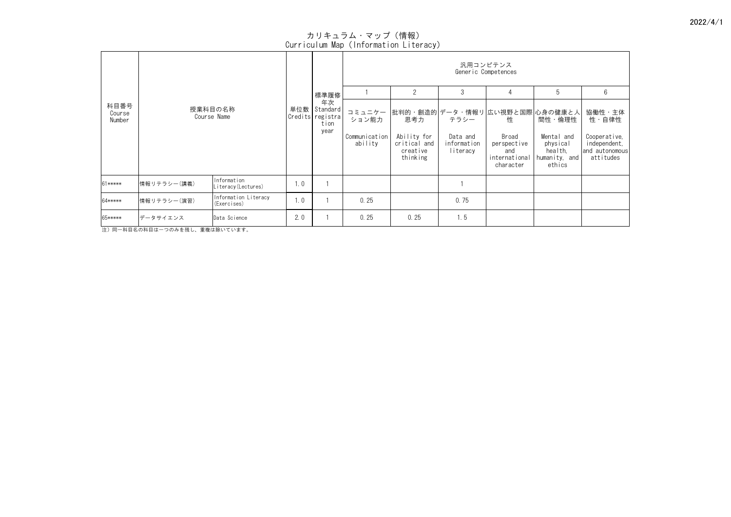|                          | 授業科目の名称<br>Course Name |                                     |     |                                                        | 汎用コンピテンス<br>Generic Competences             |                                                                       |                                 |                                   |                                    |                                                 |  |  |
|--------------------------|------------------------|-------------------------------------|-----|--------------------------------------------------------|---------------------------------------------|-----------------------------------------------------------------------|---------------------------------|-----------------------------------|------------------------------------|-------------------------------------------------|--|--|
|                          |                        |                                     |     | 標準履修                                                   |                                             | $\overline{2}$                                                        | $\mathfrak{S}$                  | 4                                 | 5                                  | $6\phantom{.}6$                                 |  |  |
| 科目番号<br>Course<br>Number |                        |                                     |     | 年次<br>単位数 Standard<br>Credits registra<br>tion<br>year | コミュニケー<br>ション能力<br>Communication<br>ability | 批判的・創造的 データ・情報リ 広い視野と国際 心身の健康と人<br>思考力<br>Ability for<br>critical and | テラシー<br>Data and<br>information | 性<br>Broad<br>perspective         | 間性・倫理性<br>Mental and<br>physical   | 協働性・主体<br>性・自律性<br>Cooperative,<br>independent, |  |  |
|                          |                        |                                     |     |                                                        |                                             | creative<br>thinking                                                  | literacy                        | and<br>international<br>character | health,<br>humanity, and<br>ethics | and autonomous<br>attitudes                     |  |  |
| 61*****                  | 情報リテラシー(講義)            | Information<br>Literacy (Lectures)  | 1.0 |                                                        |                                             |                                                                       |                                 |                                   |                                    |                                                 |  |  |
| 64*****                  | 情報リテラシー(演習)            | Information Literacy<br>(Exercises) | 1.0 |                                                        | 0.25                                        |                                                                       | 0.75                            |                                   |                                    |                                                 |  |  |
| 65*****                  | データサイエンス               | Data Science                        | 2.0 |                                                        | 0.25                                        | 0.25                                                                  | 1.5                             |                                   |                                    |                                                 |  |  |

注)同一科目名の科目は一つのみを残し、重複は除いています。

# カリキュラム・マップ(情報) Curriculum Map(Information Literacy)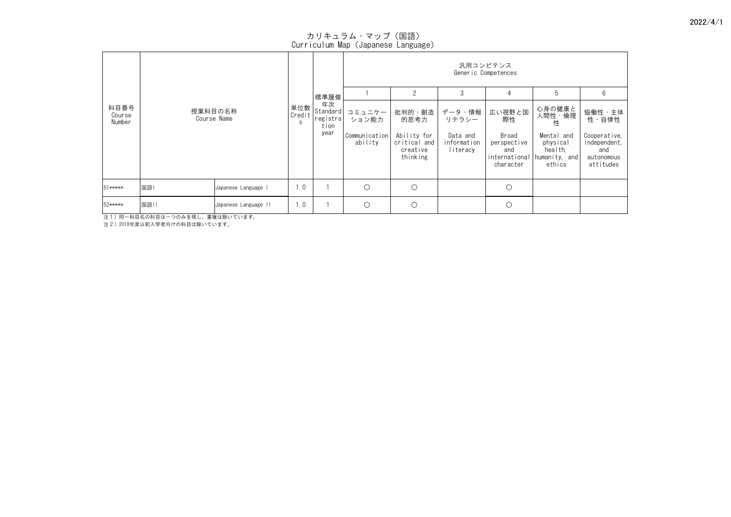| 科目番号<br>Course<br>Number |                              |                    |                                    | 汎用コンピテンス<br>Generic Competences |                                                     |                                     |                                                           |                                                              |                                                                |  |  |
|--------------------------|------------------------------|--------------------|------------------------------------|---------------------------------|-----------------------------------------------------|-------------------------------------|-----------------------------------------------------------|--------------------------------------------------------------|----------------------------------------------------------------|--|--|
|                          |                              | 単位数<br>Credit<br>S | 標準履修                               |                                 |                                                     |                                     |                                                           | .ს                                                           | 6                                                              |  |  |
|                          | 授業科目の名称<br>Course Name       |                    | 年次<br>Standard<br>registra<br>tion | コミュニケー<br>ション能力                 | 批判的・創造<br>的思考力                                      | データ・情報<br>リテラシー                     | 広い視野と国<br>際性                                              | 心身の健康と<br>人間性・倫理<br>性                                        | 協働性·主体<br>性・自律性                                                |  |  |
|                          |                              |                    | year                               | Communication<br>ability        | Ability for<br>critical and<br>creative<br>thinking | Data and<br>information<br>literacy | Broad<br>perspective<br>and<br>international<br>character | Mental and<br>physical<br>health,<br>humanity, and<br>ethics | Cooperative,<br>independent,<br>and<br>autonomous<br>attitudes |  |  |
| 51*****                  | 国語 <br>Japanese Language I   | 1.0                |                                    | $\bigcirc$                      | $\bigcirc$                                          |                                     | $\bigcirc$                                                |                                                              |                                                                |  |  |
| 52*****                  | 国語  <br>Japanese Language II | 1.0                |                                    | $\bigcirc$                      | $\bigcirc$                                          |                                     | $\bigcirc$                                                |                                                              |                                                                |  |  |

注1)同一科目名の科目は一つのみを残し、重複は除いています。

注2)2018年度以前入学者向けの科目は除いています。

カリキュラム・マップ(国語)

Curriculum Map(Japanese Language)